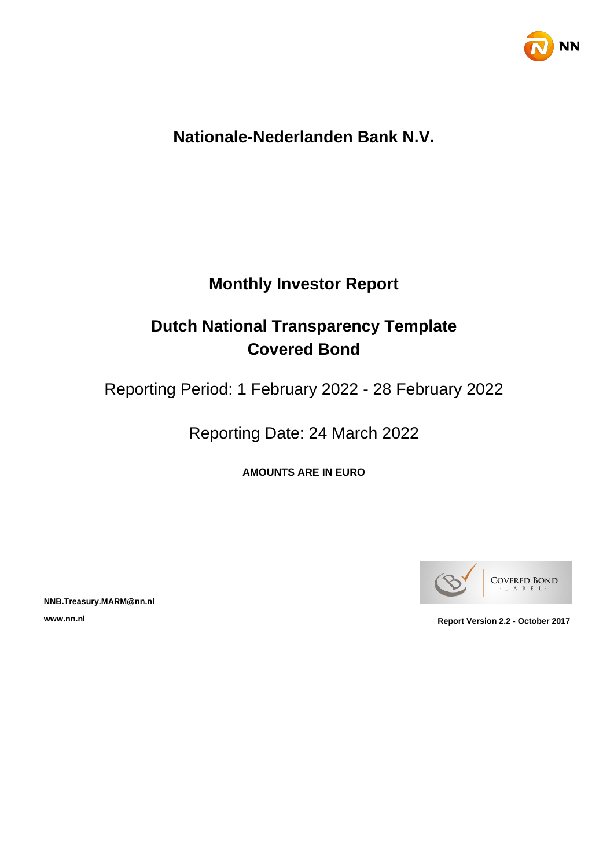

# **Nationale-Nederlanden Bank N.V.**

# **Monthly Investor Report**

# **Dutch National Transparency Template Covered Bond**

Reporting Period: 1 February 2022 - 28 February 2022

Reporting Date: 24 March 2022

**AMOUNTS ARE IN EURO**



**NNB.Treasury.MARM@nn.nl**

**www.nn.nl Report Version 2.2 - October 2017**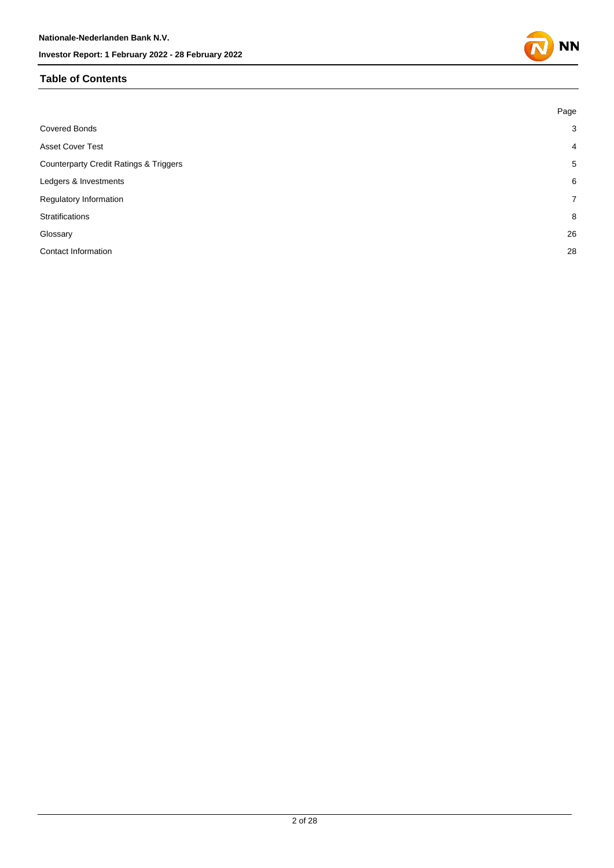### **Table of Contents**

|                                                   | Page           |
|---------------------------------------------------|----------------|
| <b>Covered Bonds</b>                              | 3              |
| <b>Asset Cover Test</b>                           | $\overline{4}$ |
| <b>Counterparty Credit Ratings &amp; Triggers</b> | 5              |
| Ledgers & Investments                             | 6              |
| Regulatory Information                            | $7^{\circ}$    |
| Stratifications                                   | 8              |
| Glossary                                          | 26             |
| <b>Contact Information</b>                        | 28             |
|                                                   |                |

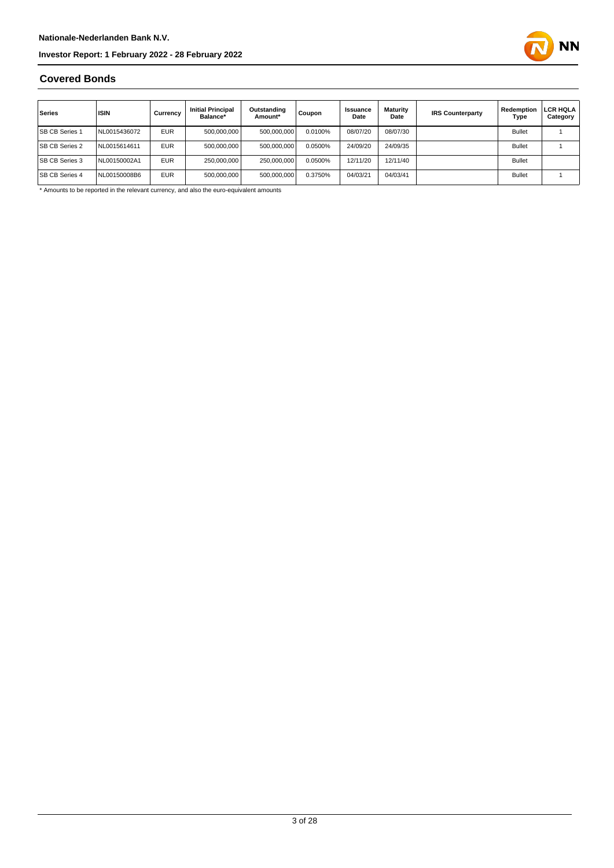

### **Covered Bonds**

| Series                | <b>ISIN</b>  | Currency   | <b>Initial Principal</b><br>Balance* | Outstanding<br>Amount* | Coupon  | Issuance<br>Date | Maturity<br>Date | <b>IRS Counterparty</b> | Redemption<br>Type | LCR HQLA<br>Category |
|-----------------------|--------------|------------|--------------------------------------|------------------------|---------|------------------|------------------|-------------------------|--------------------|----------------------|
| <b>SB CB Series 1</b> | NL0015436072 | <b>EUR</b> | 500,000,000                          | 500,000,000            | 0.0100% | 08/07/20         | 08/07/30         |                         | <b>Bullet</b>      |                      |
| <b>SB CB Series 2</b> | NL0015614611 | <b>EUR</b> | 500.000.000                          | 500,000,000            | 0.0500% | 24/09/20         | 24/09/35         |                         | <b>Bullet</b>      |                      |
| <b>SB CB Series 3</b> | NL00150002A1 | <b>EUR</b> | 250,000,000                          | 250.000.000            | 0.0500% | 12/11/20         | 12/11/40         |                         | <b>Bullet</b>      |                      |
| <b>SB CB Series 4</b> | NL00150008B6 | <b>EUR</b> | 500,000,000                          | 500,000,000            | 0.3750% | 04/03/21         | 04/03/41         |                         | <b>Bullet</b>      |                      |

\* Amounts to be reported in the relevant currency, and also the euro-equivalent amounts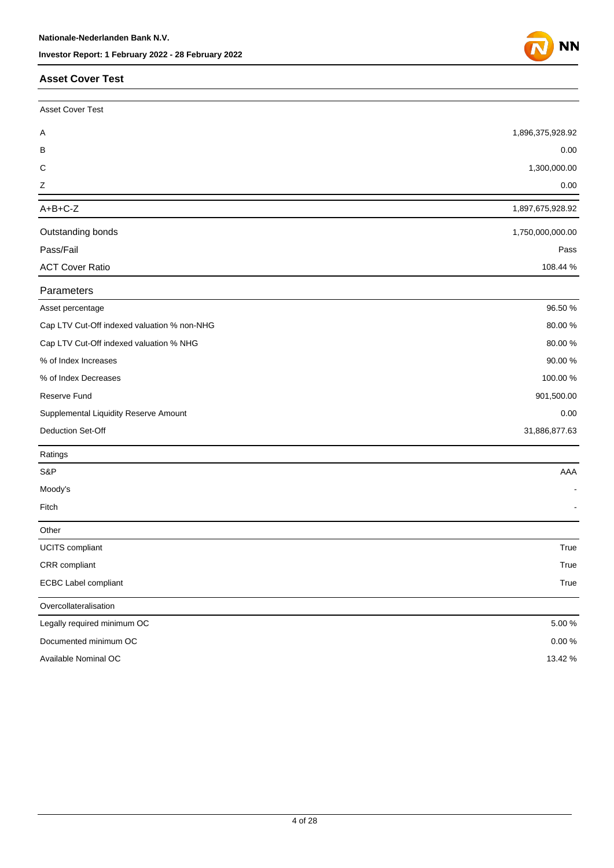### **Asset Cover Test**



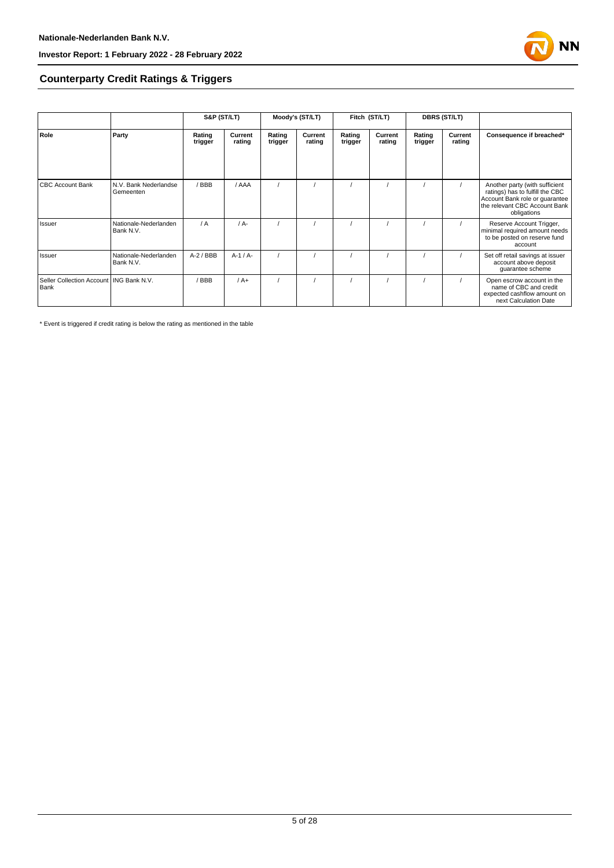

### **Counterparty Credit Ratings & Triggers**

|                                                   |                                    | S&P (ST/LT)       |                   |                   | Moody's (ST/LT)   |                   | Fitch (ST/LT)     |                   | <b>DBRS (ST/LT)</b> |                                                                                                                                                     |  |
|---------------------------------------------------|------------------------------------|-------------------|-------------------|-------------------|-------------------|-------------------|-------------------|-------------------|---------------------|-----------------------------------------------------------------------------------------------------------------------------------------------------|--|
| Role                                              | Party                              | Rating<br>trigger | Current<br>rating | Rating<br>trigger | Current<br>rating | Rating<br>trigger | Current<br>rating | Rating<br>trigger | Current<br>rating   | Consequence if breached*                                                                                                                            |  |
|                                                   |                                    |                   |                   |                   |                   |                   |                   |                   |                     |                                                                                                                                                     |  |
| <b>CBC Account Bank</b>                           | N.V. Bank Nederlandse<br>Gemeenten | / BBB             | / AAA             |                   |                   |                   |                   |                   |                     | Another party (with sufficient<br>ratings) has to fulfill the CBC<br>Account Bank role or quarantee<br>the relevant CBC Account Bank<br>obligations |  |
| Issuer                                            | Nationale-Nederlanden<br>Bank N.V. | / A               | $/A -$            |                   |                   |                   |                   |                   |                     | Reserve Account Trigger,<br>minimal required amount needs<br>to be posted on reserve fund<br>account                                                |  |
| Issuer                                            | Nationale-Nederlanden<br>Bank N.V. | $A-2$ / BBB       | $A-1/A-$          |                   |                   |                   |                   |                   |                     | Set off retail savings at issuer<br>account above deposit<br>guarantee scheme                                                                       |  |
| Seller Collection Account   ING Bank N.V.<br>Bank |                                    | / BBB             | $/A+$             |                   |                   |                   |                   |                   |                     | Open escrow account in the<br>name of CBC and credit<br>expected cashflow amount on<br>next Calculation Date                                        |  |

\* Event is triggered if credit rating is below the rating as mentioned in the table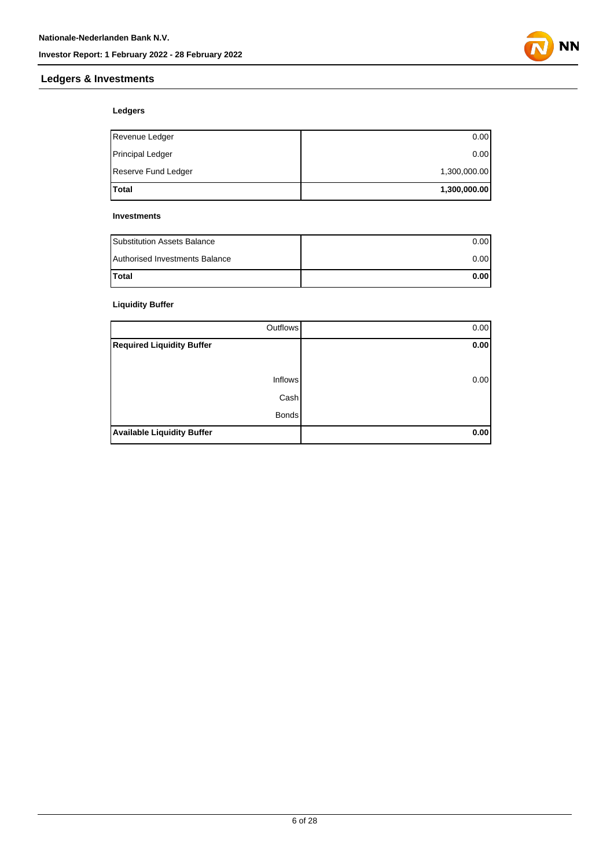

### **Ledgers & Investments**

### **Ledgers**

| Total                   | 1,300,000.00 |
|-------------------------|--------------|
| Reserve Fund Ledger     | 1,300,000.00 |
| <b>Principal Ledger</b> | 0.00         |
| Revenue Ledger          | 0.00         |

#### **Investments**

| <b>Substitution Assets Balance</b> | 0.001 |
|------------------------------------|-------|
| Authorised Investments Balance     | 0.001 |
| <b>Total</b>                       | 0.001 |

### **Liquidity Buffer**

| Outflows                          | 0.00 |
|-----------------------------------|------|
| <b>Required Liquidity Buffer</b>  | 0.00 |
|                                   |      |
| <b>Inflows</b>                    | 0.00 |
| Cash                              |      |
| <b>Bonds</b>                      |      |
| <b>Available Liquidity Buffer</b> | 0.00 |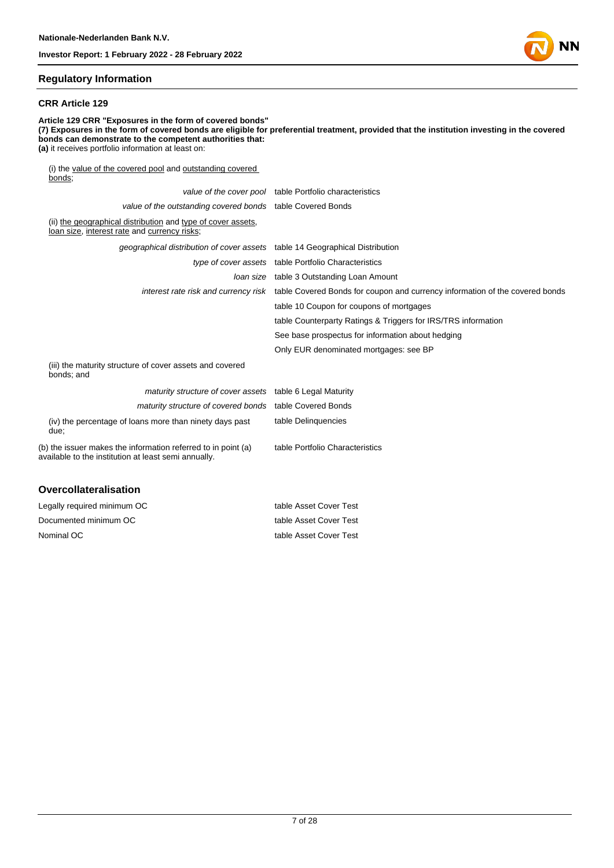#### **Regulatory Information**

#### **CRR Article 129**

**Article 129 CRR "Exposures in the form of covered bonds" (7) Exposures in the form of covered bonds are eligible for preferential treatment, provided that the institution investing in the covered bonds can demonstrate to the competent authorities that: (a)** it receives portfolio information at least on: (i) the value of the covered pool and outstanding covered bonds; value of the cover pool table Portfolio characteristics value of the outstanding covered bonds table Covered Bonds (ii) the geographical distribution and type of cover assets, loan size, interest rate and currency risks; geographical distribution of cover assets table 14 Geographical Distribution type of cover assets table Portfolio Characteristics loan size table 3 Outstanding Loan Amount interest rate risk and currency risk table Covered Bonds for coupon and currency information of the covered bonds table 10 Coupon for coupons of mortgages table Counterparty Ratings & Triggers for IRS/TRS information See base prospectus for information about hedging Only EUR denominated mortgages: see BP (iii) the maturity structure of cover assets and covered bonds; and maturity structure of cover assets table 6 Legal Maturity maturity structure of covered bonds table Covered Bonds

table Delinquencies

table Portfolio Characteristics

(iv) the percentage of loans more than ninety days past due;

(b) the issuer makes the information referred to in point (a) available to the institution at least semi annually.

#### **Overcollateralisation**

| Legally required minimum OC | table Asset Cover Test |
|-----------------------------|------------------------|
| Documented minimum OC       | table Asset Cover Test |
| Nominal OC                  | table Asset Cover Test |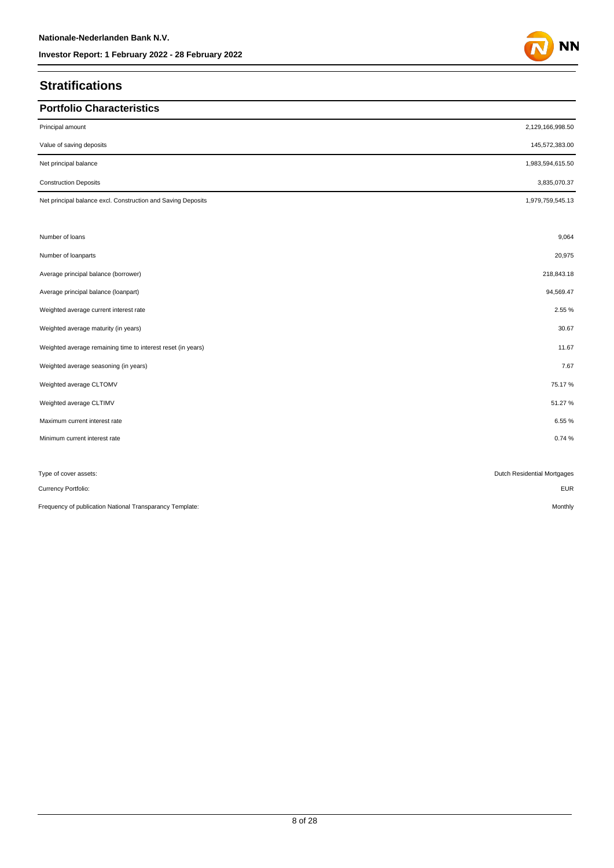## **Stratifications**

| <b>Portfolio Characteristics</b>                             |                             |
|--------------------------------------------------------------|-----------------------------|
| Principal amount                                             | 2,129,166,998.50            |
| Value of saving deposits                                     | 145,572,383.00              |
| Net principal balance                                        | 1,983,594,615.50            |
| <b>Construction Deposits</b>                                 | 3,835,070.37                |
| Net principal balance excl. Construction and Saving Deposits | 1,979,759,545.13            |
| Number of loans                                              | 9,064                       |
| Number of loanparts                                          | 20,975                      |
| Average principal balance (borrower)                         | 218,843.18                  |
| Average principal balance (loanpart)                         | 94,569.47                   |
| Weighted average current interest rate                       | 2.55 %                      |
| Weighted average maturity (in years)                         | 30.67                       |
| Weighted average remaining time to interest reset (in years) | 11.67                       |
| Weighted average seasoning (in years)                        | 7.67                        |
| Weighted average CLTOMV                                      | 75.17%                      |
| Weighted average CLTIMV                                      | 51.27%                      |
| Maximum current interest rate                                | 6.55%                       |
| Minimum current interest rate                                | 0.74%                       |
|                                                              |                             |
| Type of cover assets:                                        | Dutch Residential Mortgages |
| Currency Portfolio:                                          | <b>EUR</b>                  |
| Frequency of publication National Transparancy Template:     | Monthly                     |

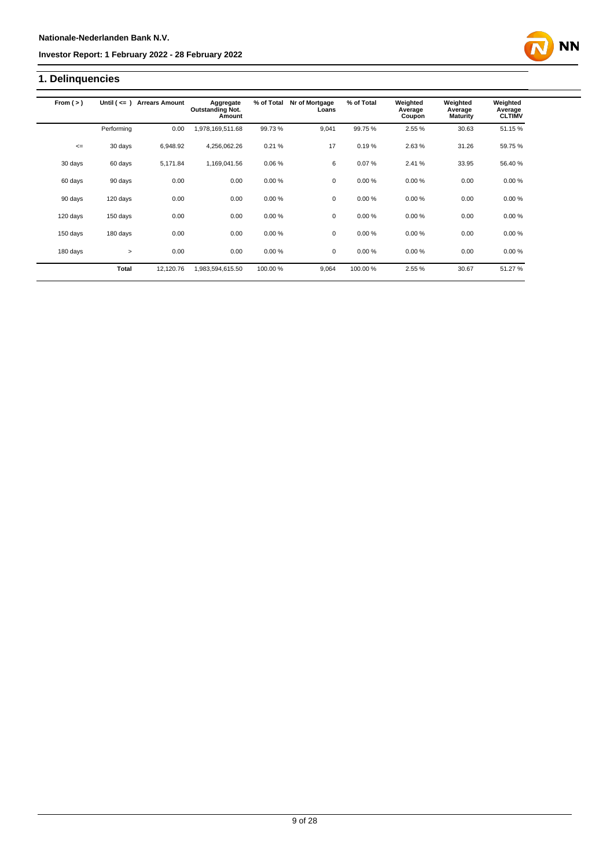## **1. Delinquencies**

| From $(>)$ | Until $($ <= $)$ | <b>Arrears Amount</b> | Aggregate<br><b>Outstanding Not.</b><br>Amount | % of Total | Nr of Mortgage<br>Loans | % of Total | Weighted<br>Average<br>Coupon | Weighted<br>Average<br><b>Maturity</b> | Weighted<br>Average<br><b>CLTIMV</b> |
|------------|------------------|-----------------------|------------------------------------------------|------------|-------------------------|------------|-------------------------------|----------------------------------------|--------------------------------------|
|            | Performing       | 0.00                  | ,978,169,511.68                                | 99.73%     | 9.041                   | 99.75%     | 2.55 %                        | 30.63                                  | 51.15 %                              |
| $\leq$     | 30 days          | 6,948.92              | 4,256,062.26                                   | 0.21%      | 17                      | 0.19%      | 2.63%                         | 31.26                                  | 59.75 %                              |
| 30 days    | 60 days          | 5,171.84              | 1,169,041.56                                   | 0.06%      | 6                       | 0.07%      | 2.41 %                        | 33.95                                  | 56.40 %                              |
| 60 days    | 90 days          | 0.00                  | 0.00                                           | 0.00%      | 0                       | 0.00%      | 0.00%                         | 0.00                                   | 0.00%                                |
| 90 days    | 120 days         | 0.00                  | 0.00                                           | 0.00%      | 0                       | 0.00%      | 0.00%                         | 0.00                                   | 0.00%                                |
| 120 days   | 150 days         | 0.00                  | 0.00                                           | 0.00%      | 0                       | 0.00%      | 0.00%                         | 0.00                                   | 0.00%                                |
| 150 days   | 180 days         | 0.00                  | 0.00                                           | 0.00%      | $\mathbf 0$             | 0.00%      | 0.00%                         | 0.00                                   | 0.00%                                |
| 180 days   | $\geq$           | 0.00                  | 0.00                                           | 0.00%      | $\mathbf 0$             | 0.00%      | 0.00%                         | 0.00                                   | 0.00%                                |
|            | Total            | 12,120.76             | 1,983,594,615.50                               | 100.00 %   | 9,064                   | 100.00%    | 2.55 %                        | 30.67                                  | 51.27 %                              |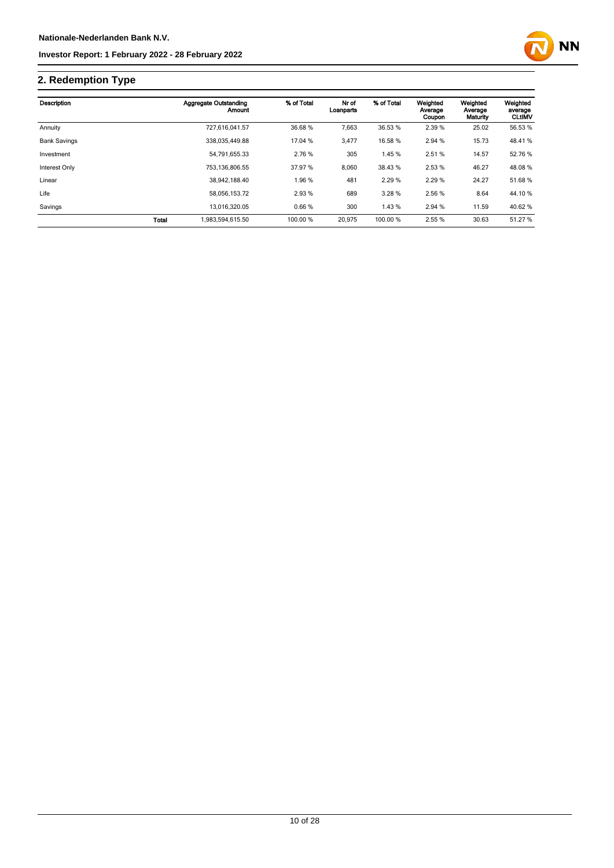

## **2. Redemption Type**

| Description         |              | <b>Aggregate Outstanding</b><br>Amount | % of Total | Nr of<br>Loanparts | % of Total | Weighted<br>Average | Weighted<br>Average | Weighted<br>average |
|---------------------|--------------|----------------------------------------|------------|--------------------|------------|---------------------|---------------------|---------------------|
|                     |              |                                        |            |                    |            | Coupon              | Maturity            | <b>CLtIMV</b>       |
| Annuity             |              | 727.616.041.57                         | 36.68 %    | 7,663              | 36.53 %    | 2.39 %              | 25.02               | 56.53 %             |
| <b>Bank Savings</b> |              | 338.035.449.88                         | 17.04 %    | 3,477              | 16.58 %    | 2.94 %              | 15.73               | 48.41 %             |
| Investment          |              | 54,791,655.33                          | 2.76 %     | 305                | 1.45 %     | 2.51 %              | 14.57               | 52.76 %             |
| Interest Only       |              | 753,136,806.55                         | 37.97 %    | 8,060              | 38.43 %    | 2.53 %              | 46.27               | 48.08 %             |
| Linear              |              | 38,942,188.40                          | 1.96 %     | 481                | 2.29 %     | 2.29%               | 24.27               | 51.68%              |
| Life                |              | 58.056.153.72                          | 2.93%      | 689                | 3.28%      | 2.56 %              | 8.64                | 44.10 %             |
| Savings             |              | 13.016.320.05                          | 0.66%      | 300                | 1.43 %     | 2.94 %              | 11.59               | 40.62 %             |
|                     | <b>Total</b> | 1,983,594,615.50                       | 100.00 %   | 20,975             | 100.00 %   | 2.55 %              | 30.63               | 51.27 %             |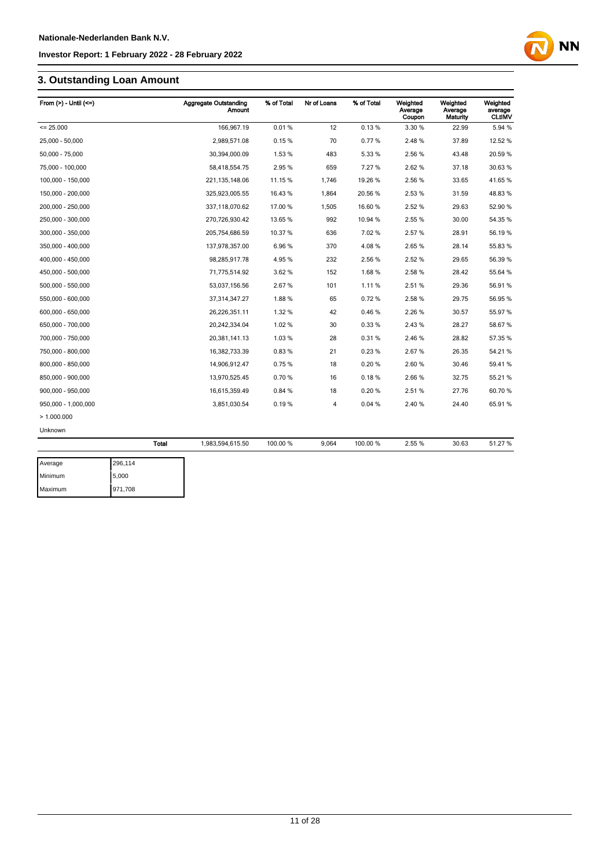## **3. Outstanding Loan Amount**

| From $(>)$ - Until $(<=)$ |              | <b>Aggregate Outstanding</b><br><b>Amount</b> | % of Total | Nr of Loans | % of Total | Weighted<br>Average<br>Coupon | Weighted<br>Average<br>Maturity | Weighted<br>average<br><b>CLtIMV</b> |
|---------------------------|--------------|-----------------------------------------------|------------|-------------|------------|-------------------------------|---------------------------------|--------------------------------------|
| $= 25.000$                |              | 166,967.19                                    | 0.01%      | 12          | 0.13%      | 3.30 %                        | 22.99                           | 5.94 %                               |
| 25.000 - 50.000           |              | 2,989,571.08                                  | 0.15%      | 70          | 0.77%      | 2.48%                         | 37.89                           | 12.52 %                              |
| 50,000 - 75,000           |              | 30,394,000.09                                 | 1.53 %     | 483         | 5.33 %     | 2.56 %                        | 43.48                           | 20.59 %                              |
| 75,000 - 100,000          |              | 58,418,554.75                                 | 2.95%      | 659         | 7.27 %     | 2.62%                         | 37.18                           | 30.63 %                              |
| 100,000 - 150,000         |              | 221, 135, 148.06                              | 11.15 %    | 1,746       | 19.26 %    | 2.56 %                        | 33.65                           | 41.65%                               |
| 150,000 - 200,000         |              | 325,923,005.55                                | 16.43 %    | 1,864       | 20.56 %    | 2.53%                         | 31.59                           | 48.83%                               |
| 200,000 - 250,000         |              | 337,118,070.62                                | 17.00 %    | 1,505       | 16.60%     | 2.52%                         | 29.63                           | 52.90 %                              |
| 250,000 - 300,000         |              | 270,726,930.42                                | 13.65 %    | 992         | 10.94 %    | 2.55 %                        | 30.00                           | 54.35 %                              |
| 300,000 - 350,000         |              | 205,754,686.59                                | 10.37 %    | 636         | 7.02%      | 2.57%                         | 28.91                           | 56.19%                               |
| 350,000 - 400,000         |              | 137,978,357.00                                | 6.96%      | 370         | 4.08%      | 2.65%                         | 28.14                           | 55.83 %                              |
| 400,000 - 450,000         |              | 98,285,917.78                                 | 4.95%      | 232         | 2.56 %     | 2.52%                         | 29.65                           | 56.39 %                              |
| 450.000 - 500.000         |              | 71,775,514.92                                 | 3.62%      | 152         | 1.68%      | 2.58%                         | 28.42                           | 55.64 %                              |
| 500,000 - 550,000         |              | 53,037,156.56                                 | 2.67%      | 101         | 1.11%      | 2.51%                         | 29.36                           | 56.91%                               |
| 550.000 - 600.000         |              | 37,314,347.27                                 | 1.88%      | 65          | 0.72%      | 2.58%                         | 29.75                           | 56.95 %                              |
| 600,000 - 650,000         |              | 26,226,351.11                                 | 1.32%      | 42          | 0.46%      | 2.26 %                        | 30.57                           | 55.97 %                              |
| 650,000 - 700,000         |              | 20,242,334.04                                 | 1.02%      | 30          | 0.33%      | 2.43%                         | 28.27                           | 58.67%                               |
| 700,000 - 750,000         |              | 20,381,141.13                                 | 1.03%      | 28          | 0.31%      | 2.46%                         | 28.82                           | 57.35 %                              |
| 750,000 - 800,000         |              | 16,382,733.39                                 | 0.83%      | 21          | 0.23%      | 2.67%                         | 26.35                           | 54.21%                               |
| 800,000 - 850,000         |              | 14,906,912.47                                 | 0.75%      | 18          | 0.20%      | 2.60%                         | 30.46                           | 59.41%                               |
| 850,000 - 900,000         |              | 13,970,525.45                                 | 0.70%      | 16          | 0.18%      | 2.66%                         | 32.75                           | 55.21 %                              |
| 900.000 - 950.000         |              | 16,615,359.49                                 | 0.84 %     | 18          | 0.20%      | 2.51%                         | 27.76                           | 60.70%                               |
| 950,000 - 1,000,000       |              | 3,851,030.54                                  | 0.19%      | 4           | 0.04%      | 2.40%                         | 24.40                           | 65.91%                               |
| >1.000.000                |              |                                               |            |             |            |                               |                                 |                                      |
| Unknown                   |              |                                               |            |             |            |                               |                                 |                                      |
|                           | <b>Total</b> | 1,983,594,615.50                              | 100.00 %   | 9,064       | 100.00%    | 2.55 %                        | 30.63                           | 51.27 %                              |
| Average                   | 296,114      |                                               |            |             |            |                               |                                 |                                      |

| Average | 296.114 |
|---------|---------|
| Minimum | 5,000   |
| Maximum | 971,708 |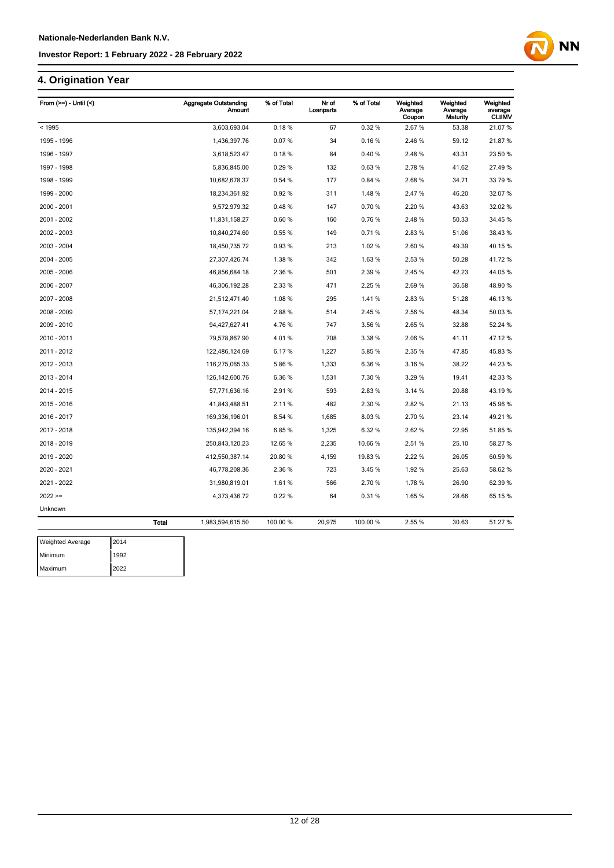## **4. Origination Year**

| From (>=) - Until (<) |              | <b>Aggregate Outstanding</b><br><b>Amount</b> | % of Total | Nr of<br>Loanparts | % of Total | Weighted<br>Average<br>Coupon | Weighted<br>Average<br>Maturity | Weighted<br>average<br><b>CLtIMV</b> |
|-----------------------|--------------|-----------------------------------------------|------------|--------------------|------------|-------------------------------|---------------------------------|--------------------------------------|
| < 1995                |              | 3,603,693.04                                  | 0.18%      | 67                 | 0.32%      | 2.67%                         | 53.38                           | 21.07%                               |
| 1995 - 1996           |              | 1,436,397.76                                  | 0.07%      | 34                 | 0.16%      | 2.46 %                        | 59.12                           | 21.87%                               |
| 1996 - 1997           |              | 3,618,523.47                                  | 0.18%      | 84                 | 0.40%      | 2.48%                         | 43.31                           | 23.50 %                              |
| 1997 - 1998           |              | 5,836,845.00                                  | 0.29%      | 132                | 0.63%      | 2.78%                         | 41.62                           | 27.49%                               |
| 1998 - 1999           |              | 10,682,678.37                                 | 0.54%      | 177                | 0.84 %     | 2.68%                         | 34.71                           | 33.79 %                              |
| 1999 - 2000           |              | 18,234,361.92                                 | 0.92%      | 311                | 1.48%      | 2.47%                         | 46.20                           | 32.07%                               |
| 2000 - 2001           |              | 9,572,979.32                                  | 0.48%      | 147                | 0.70%      | 2.20%                         | 43.63                           | 32.02 %                              |
| 2001 - 2002           |              | 11,831,158.27                                 | 0.60%      | 160                | 0.76%      | 2.48%                         | 50.33                           | 34.45 %                              |
| 2002 - 2003           |              | 10,840,274.60                                 | 0.55 %     | 149                | 0.71%      | 2.83%                         | 51.06                           | 38.43 %                              |
| 2003 - 2004           |              | 18,450,735.72                                 | 0.93%      | 213                | 1.02%      | 2.60%                         | 49.39                           | 40.15%                               |
| 2004 - 2005           |              | 27,307,426.74                                 | 1.38 %     | 342                | 1.63%      | 2.53%                         | 50.28                           | 41.72%                               |
| 2005 - 2006           |              | 46,856,684.18                                 | 2.36 %     | 501                | 2.39 %     | 2.45 %                        | 42.23                           | 44.05%                               |
| 2006 - 2007           |              | 46,306,192.28                                 | 2.33 %     | 471                | 2.25 %     | 2.69%                         | 36.58                           | 48.90 %                              |
| 2007 - 2008           |              | 21,512,471.40                                 | 1.08%      | 295                | 1.41%      | 2.83%                         | 51.28                           | 46.13%                               |
| 2008 - 2009           |              | 57, 174, 221.04                               | 2.88%      | 514                | 2.45%      | 2.56%                         | 48.34                           | 50.03%                               |
| 2009 - 2010           |              | 94,427,627.41                                 | 4.76%      | 747                | 3.56 %     | 2.65%                         | 32.88                           | 52.24 %                              |
| 2010 - 2011           |              | 79,578,867.90                                 | 4.01%      | 708                | 3.38 %     | 2.06 %                        | 41.11                           | 47.12%                               |
| 2011 - 2012           |              | 122,486,124.69                                | 6.17%      | 1,227              | 5.85 %     | 2.35 %                        | 47.85                           | 45.83%                               |
| 2012 - 2013           |              | 116,275,065.33                                | 5.86%      | 1,333              | 6.36%      | 3.16%                         | 38.22                           | 44.23%                               |
| 2013 - 2014           |              | 126, 142, 600. 76                             | 6.36%      | 1,531              | 7.30 %     | 3.29%                         | 19.41                           | 42.33 %                              |
| 2014 - 2015           |              | 57,771,636.16                                 | 2.91%      | 593                | 2.83%      | 3.14 %                        | 20.88                           | 43.19%                               |
| 2015 - 2016           |              | 41,843,488.51                                 | 2.11%      | 482                | 2.30 %     | 2.82%                         | 21.13                           | 45.96%                               |
| 2016 - 2017           |              | 169,336,196.01                                | 8.54 %     | 1,685              | 8.03%      | 2.70%                         | 23.14                           | 49.21%                               |
| 2017 - 2018           |              | 135,942,394.16                                | 6.85%      | 1,325              | 6.32 %     | 2.62%                         | 22.95                           | 51.85 %                              |
| 2018 - 2019           |              | 250,843,120.23                                | 12.65 %    | 2,235              | 10.66%     | 2.51%                         | 25.10                           | 58.27 %                              |
| 2019 - 2020           |              | 412,550,387.14                                | 20.80 %    | 4,159              | 19.83%     | 2.22 %                        | 26.05                           | 60.59 %                              |
| 2020 - 2021           |              | 46,778,208.36                                 | 2.36 %     | 723                | 3.45 %     | 1.92%                         | 25.63                           | 58.62 %                              |
| 2021 - 2022           |              | 31,980,819.01                                 | 1.61%      | 566                | 2.70%      | 1.78%                         | 26.90                           | 62.39 %                              |
| $2022 >=$             |              | 4,373,436.72                                  | 0.22%      | 64                 | 0.31%      | 1.65%                         | 28.66                           | 65.15 %                              |
| Unknown               |              |                                               |            |                    |            |                               |                                 |                                      |
|                       | <b>Total</b> | 1,983,594,615.50                              | 100.00 %   | 20,975             | 100.00%    | 2.55 %                        | 30.63                           | 51.27 %                              |

| <b>Weighted Average</b> | 2014 |
|-------------------------|------|
| Minimum                 | 1992 |
| Maximum                 | 2022 |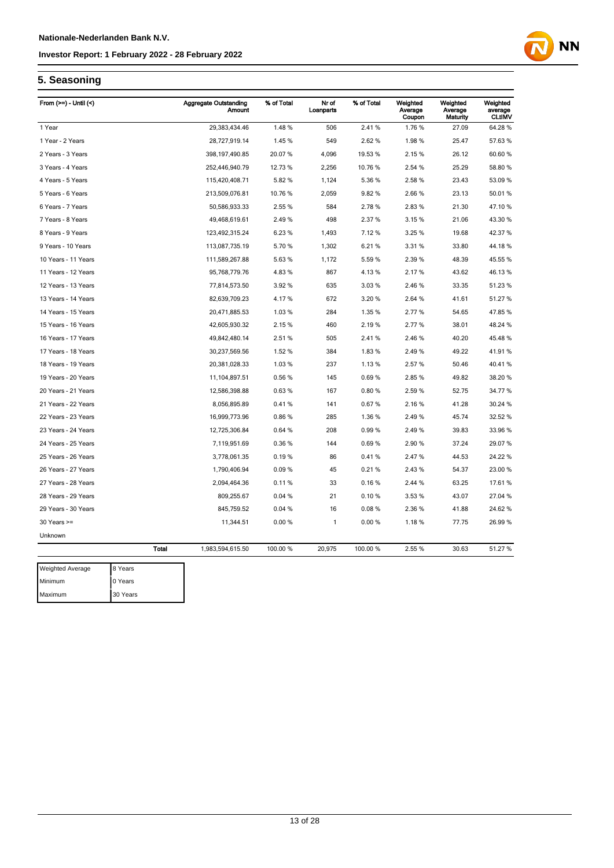

### **5. Seasoning**

| From $(>=)$ - Until $($ |              | <b>Aggregate Outstanding</b><br>Amount | % of Total | Nr of<br>Loanparts | % of Total | Weighted<br>Average<br>Coupon | Weighted<br>Average<br>Maturity | Weighted<br>average<br><b>CLtIMV</b> |
|-------------------------|--------------|----------------------------------------|------------|--------------------|------------|-------------------------------|---------------------------------|--------------------------------------|
| 1 Year                  |              | 29,383,434.46                          | 1.48%      | 506                | 2.41%      | 1.76 %                        | 27.09                           | 64.28%                               |
| 1 Year - 2 Years        |              | 28,727,919.14                          | 1.45 %     | 549                | 2.62%      | 1.98%                         | 25.47                           | 57.63 %                              |
| 2 Years - 3 Years       |              | 398, 197, 490.85                       | 20.07%     | 4,096              | 19.53%     | 2.15%                         | 26.12                           | 60.60 %                              |
| 3 Years - 4 Years       |              | 252,446,940.79                         | 12.73 %    | 2,256              | 10.76%     | 2.54 %                        | 25.29                           | 58.80 %                              |
| 4 Years - 5 Years       |              | 115,420,408.71                         | 5.82 %     | 1,124              | 5.36 %     | 2.58%                         | 23.43                           | 53.09 %                              |
| 5 Years - 6 Years       |              | 213,509,076.81                         | 10.76 %    | 2,059              | 9.82%      | 2.66%                         | 23.13                           | 50.01%                               |
| 6 Years - 7 Years       |              | 50,586,933.33                          | 2.55 %     | 584                | 2.78%      | 2.83%                         | 21.30                           | 47.10%                               |
| 7 Years - 8 Years       |              | 49,468,619.61                          | 2.49%      | 498                | 2.37 %     | 3.15%                         | 21.06                           | 43.30 %                              |
| 8 Years - 9 Years       |              | 123,492,315.24                         | 6.23%      | 1,493              | 7.12%      | 3.25 %                        | 19.68                           | 42.37%                               |
| 9 Years - 10 Years      |              | 113,087,735.19                         | 5.70%      | 1,302              | 6.21%      | 3.31 %                        | 33.80                           | 44.18%                               |
| 10 Years - 11 Years     |              | 111,589,267.88                         | 5.63%      | 1,172              | 5.59%      | 2.39%                         | 48.39                           | 45.55 %                              |
| 11 Years - 12 Years     |              | 95,768,779.76                          | 4.83%      | 867                | 4.13%      | 2.17%                         | 43.62                           | 46.13%                               |
| 12 Years - 13 Years     |              | 77,814,573.50                          | 3.92%      | 635                | 3.03%      | 2.46 %                        | 33.35                           | 51.23 %                              |
| 13 Years - 14 Years     |              | 82,639,709.23                          | 4.17%      | 672                | 3.20 %     | 2.64 %                        | 41.61                           | 51.27 %                              |
| 14 Years - 15 Years     |              | 20,471,885.53                          | 1.03%      | 284                | 1.35 %     | 2.77 %                        | 54.65                           | 47.85%                               |
| 15 Years - 16 Years     |              | 42,605,930.32                          | 2.15%      | 460                | 2.19%      | 2.77 %                        | 38.01                           | 48.24 %                              |
| 16 Years - 17 Years     |              | 49,842,480.14                          | 2.51%      | 505                | 2.41%      | 2.46 %                        | 40.20                           | 45.48%                               |
| 17 Years - 18 Years     |              | 30,237,569.56                          | 1.52 %     | 384                | 1.83%      | 2.49%                         | 49.22                           | 41.91%                               |
| 18 Years - 19 Years     |              | 20,381,028.33                          | 1.03%      | 237                | 1.13%      | 2.57%                         | 50.46                           | 40.41%                               |
| 19 Years - 20 Years     |              | 11,104,897.51                          | 0.56%      | 145                | 0.69%      | 2.85%                         | 49.82                           | 38.20 %                              |
| 20 Years - 21 Years     |              | 12,586,398.88                          | 0.63%      | 167                | 0.80%      | 2.59%                         | 52.75                           | 34.77 %                              |
| 21 Years - 22 Years     |              | 8,056,895.89                           | 0.41%      | 141                | 0.67%      | 2.16 %                        | 41.28                           | 30.24 %                              |
| 22 Years - 23 Years     |              | 16,999,773.96                          | 0.86%      | 285                | 1.36 %     | 2.49 %                        | 45.74                           | 32.52 %                              |
| 23 Years - 24 Years     |              | 12,725,306.84                          | 0.64%      | 208                | 0.99%      | 2.49%                         | 39.83                           | 33.96 %                              |
| 24 Years - 25 Years     |              | 7,119,951.69                           | 0.36%      | 144                | 0.69%      | 2.90%                         | 37.24                           | 29.07 %                              |
| 25 Years - 26 Years     |              | 3,778,061.35                           | 0.19%      | 86                 | 0.41%      | 2.47%                         | 44.53                           | 24.22 %                              |
| 26 Years - 27 Years     |              | 1,790,406.94                           | 0.09%      | 45                 | 0.21%      | 2.43%                         | 54.37                           | 23.00 %                              |
| 27 Years - 28 Years     |              | 2,094,464.36                           | 0.11%      | 33                 | 0.16%      | 2.44 %                        | 63.25                           | 17.61%                               |
| 28 Years - 29 Years     |              | 809,255.67                             | 0.04%      | 21                 | 0.10%      | 3.53 %                        | 43.07                           | 27.04 %                              |
| 29 Years - 30 Years     |              | 845,759.52                             | 0.04%      | 16                 | 0.08%      | 2.36%                         | 41.88                           | 24.62%                               |
| 30 Years >=             |              | 11,344.51                              | 0.00%      | 1                  | 0.00%      | 1.18%                         | 77.75                           | 26.99%                               |
| Unknown                 |              |                                        |            |                    |            |                               |                                 |                                      |
|                         | <b>Total</b> | 1,983,594,615.50                       | 100.00 %   | 20,975             | 100.00 %   | 2.55 %                        | 30.63                           | 51.27 %                              |
| Mainbad                 | 0.37         |                                        |            |                    |            |                               |                                 |                                      |

| <b>Weighted Average</b> | 8 Years  |
|-------------------------|----------|
| Minimum                 | 0 Years  |
| Maximum                 | 30 Years |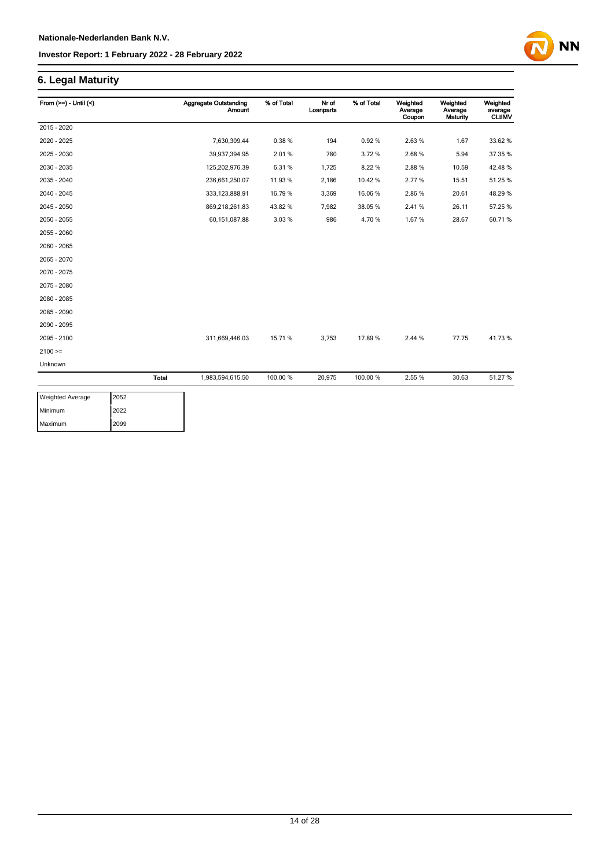### **6. Legal Maturity**

| From $(>=) -$ Until $($ |       | <b>Aggregate Outstanding</b><br><b>Amount</b> | % of Total | Nr of<br>Loanparts | % of Total | Weighted<br>Average<br>Coupon | Weighted<br>Average<br>Maturity | Weighted<br>average<br><b>CLtIMV</b> |
|-------------------------|-------|-----------------------------------------------|------------|--------------------|------------|-------------------------------|---------------------------------|--------------------------------------|
| 2015 - 2020             |       |                                               |            |                    |            |                               |                                 |                                      |
| 2020 - 2025             |       | 7,630,309.44                                  | 0.38%      | 194                | 0.92%      | 2.63%                         | 1.67                            | 33.62 %                              |
| 2025 - 2030             |       | 39,937,394.95                                 | 2.01%      | 780                | 3.72%      | 2.68%                         | 5.94                            | 37.35 %                              |
| 2030 - 2035             |       | 125,202,976.39                                | 6.31%      | 1,725              | 8.22%      | 2.88%                         | 10.59                           | 42.48%                               |
| 2035 - 2040             |       | 236,661,250.07                                | 11.93 %    | 2,186              | 10.42%     | 2.77%                         | 15.51                           | 51.25 %                              |
| 2040 - 2045             |       | 333, 123, 888.91                              | 16.79 %    | 3,369              | 16.06%     | 2.86%                         | 20.61                           | 48.29%                               |
| 2045 - 2050             |       | 869,218,261.83                                | 43.82%     | 7,982              | 38.05%     | 2.41%                         | 26.11                           | 57.25 %                              |
| 2050 - 2055             |       | 60,151,087.88                                 | 3.03%      | 986                | 4.70%      | 1.67%                         | 28.67                           | 60.71%                               |
| 2055 - 2060             |       |                                               |            |                    |            |                               |                                 |                                      |
| 2060 - 2065             |       |                                               |            |                    |            |                               |                                 |                                      |
| 2065 - 2070             |       |                                               |            |                    |            |                               |                                 |                                      |
| 2070 - 2075             |       |                                               |            |                    |            |                               |                                 |                                      |
| 2075 - 2080             |       |                                               |            |                    |            |                               |                                 |                                      |
| 2080 - 2085             |       |                                               |            |                    |            |                               |                                 |                                      |
| 2085 - 2090             |       |                                               |            |                    |            |                               |                                 |                                      |
| 2090 - 2095             |       |                                               |            |                    |            |                               |                                 |                                      |
| 2095 - 2100             |       | 311,669,446.03                                | 15.71 %    | 3,753              | 17.89%     | 2.44 %                        | 77.75                           | 41.73%                               |
| $2100 =$                |       |                                               |            |                    |            |                               |                                 |                                      |
| Unknown                 |       |                                               |            |                    |            |                               |                                 |                                      |
|                         | Total | 1,983,594,615.50                              | 100.00 %   | 20,975             | 100.00%    | 2.55 %                        | 30.63                           | 51.27 %                              |

| <b>Weighted Average</b> | 2052 |
|-------------------------|------|
| Minimum                 | 2022 |
| Maximum                 | 2099 |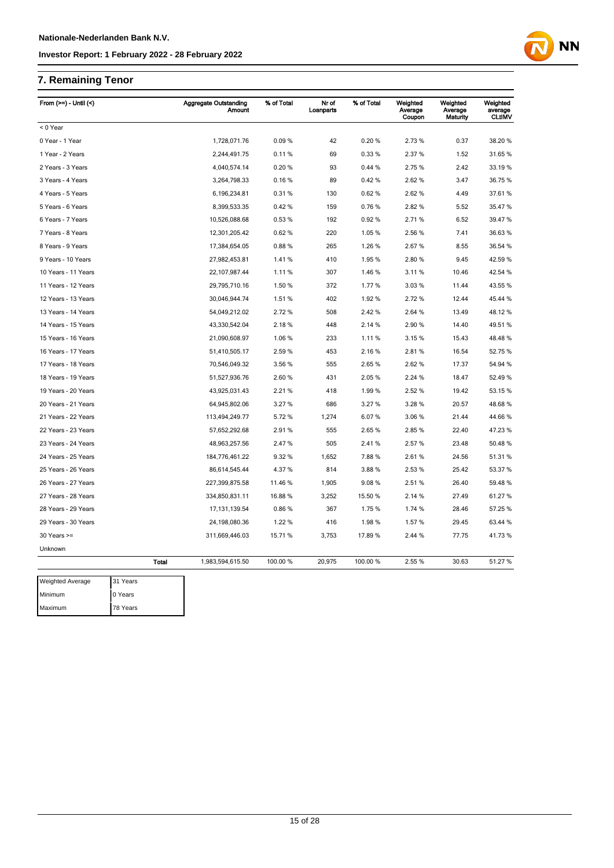## **7. Remaining Tenor**

| From $(>=)$ - Until $($ |              | <b>Aggregate Outstanding</b><br><b>Amount</b> | % of Total | Nr of<br>Loanparts | % of Total | Weighted<br>Average<br>Coupon | Weighted<br>Average<br>Maturity | Weighted<br>average<br><b>CLtIMV</b> |
|-------------------------|--------------|-----------------------------------------------|------------|--------------------|------------|-------------------------------|---------------------------------|--------------------------------------|
| < 0 Year                |              |                                               |            |                    |            |                               |                                 |                                      |
| 0 Year - 1 Year         |              | 1,728,071.76                                  | 0.09%      | 42                 | 0.20%      | 2.73%                         | 0.37                            | 38.20%                               |
| 1 Year - 2 Years        |              | 2,244,491.75                                  | 0.11%      | 69                 | 0.33%      | 2.37%                         | 1.52                            | 31.65 %                              |
| 2 Years - 3 Years       |              | 4,040,574.14                                  | 0.20%      | 93                 | 0.44%      | 2.75 %                        | 2.42                            | 33.19 %                              |
| 3 Years - 4 Years       |              | 3,264,798.33                                  | 0.16%      | 89                 | 0.42%      | 2.62%                         | 3.47                            | 36.75 %                              |
| 4 Years - 5 Years       |              | 6,196,234.81                                  | 0.31%      | 130                | 0.62%      | 2.62%                         | 4.49                            | 37.61%                               |
| 5 Years - 6 Years       |              | 8,399,533.35                                  | 0.42%      | 159                | 0.76%      | 2.82%                         | 5.52                            | 35.47 %                              |
| 6 Years - 7 Years       |              | 10,526,088.68                                 | 0.53%      | 192                | 0.92%      | 2.71%                         | 6.52                            | 39.47 %                              |
| 7 Years - 8 Years       |              | 12,301,205.42                                 | 0.62%      | 220                | 1.05 %     | 2.56 %                        | 7.41                            | 36.63 %                              |
| 8 Years - 9 Years       |              | 17,384,654.05                                 | 0.88%      | 265                | 1.26 %     | 2.67%                         | 8.55                            | 36.54 %                              |
| 9 Years - 10 Years      |              | 27,982,453.81                                 | 1.41%      | 410                | 1.95 %     | 2.80%                         | 9.45                            | 42.59 %                              |
| 10 Years - 11 Years     |              | 22,107,987.44                                 | 1.11%      | 307                | 1.46 %     | 3.11%                         | 10.46                           | 42.54 %                              |
| 11 Years - 12 Years     |              | 29,795,710.16                                 | 1.50 %     | 372                | 1.77%      | 3.03%                         | 11.44                           | 43.55 %                              |
| 12 Years - 13 Years     |              | 30,046,944.74                                 | 1.51 %     | 402                | 1.92 %     | 2.72%                         | 12.44                           | 45.44 %                              |
| 13 Years - 14 Years     |              | 54,049,212.02                                 | 2.72 %     | 508                | 2.42 %     | 2.64 %                        | 13.49                           | 48.12 %                              |
| 14 Years - 15 Years     |              | 43,330,542.04                                 | 2.18%      | 448                | 2.14 %     | 2.90%                         | 14.40                           | 49.51%                               |
| 15 Years - 16 Years     |              | 21,090,608.97                                 | 1.06 %     | 233                | 1.11%      | 3.15%                         | 15.43                           | 48.48%                               |
| 16 Years - 17 Years     |              | 51,410,505.17                                 | 2.59%      | 453                | 2.16%      | 2.81%                         | 16.54                           | 52.75 %                              |
| 17 Years - 18 Years     |              | 70,546,049.32                                 | 3.56 %     | 555                | 2.65 %     | 2.62%                         | 17.37                           | 54.94 %                              |
| 18 Years - 19 Years     |              | 51,527,936.76                                 | 2.60%      | 431                | 2.05 %     | 2.24 %                        | 18.47                           | 52.49 %                              |
| 19 Years - 20 Years     |              | 43,925,031.43                                 | 2.21%      | 418                | 1.99%      | 2.52 %                        | 19.42                           | 53.15 %                              |
| 20 Years - 21 Years     |              | 64,945,802.06                                 | 3.27%      | 686                | 3.27%      | 3.28 %                        | 20.57                           | 48.68 %                              |
| 21 Years - 22 Years     |              | 113,494,249.77                                | 5.72%      | 1,274              | 6.07%      | 3.06%                         | 21.44                           | 44.66%                               |
| 22 Years - 23 Years     |              | 57,652,292.68                                 | 2.91%      | 555                | 2.65 %     | 2.85%                         | 22.40                           | 47.23 %                              |
| 23 Years - 24 Years     |              | 48,963,257.56                                 | 2.47 %     | 505                | 2.41%      | 2.57%                         | 23.48                           | 50.48%                               |
| 24 Years - 25 Years     |              | 184,776,461.22                                | 9.32%      | 1,652              | 7.88%      | 2.61%                         | 24.56                           | 51.31%                               |
| 25 Years - 26 Years     |              | 86,614,545.44                                 | 4.37 %     | 814                | 3.88%      | 2.53%                         | 25.42                           | 53.37 %                              |
| 26 Years - 27 Years     |              | 227,399,875.58                                | 11.46 %    | 1,905              | 9.08%      | 2.51%                         | 26.40                           | 59.48 %                              |
| 27 Years - 28 Years     |              | 334,850,831.11                                | 16.88%     | 3,252              | 15.50 %    | 2.14 %                        | 27.49                           | 61.27%                               |
| 28 Years - 29 Years     |              | 17, 131, 139.54                               | 0.86%      | 367                | 1.75 %     | 1.74 %                        | 28.46                           | 57.25 %                              |
| 29 Years - 30 Years     |              | 24,198,080.36                                 | 1.22 %     | 416                | 1.98%      | 1.57%                         | 29.45                           | 63.44 %                              |
| $30$ Years $>=$         |              | 311,669,446.03                                | 15.71 %    | 3,753              | 17.89%     | 2.44 %                        | 77.75                           | 41.73 %                              |
| Unknown                 |              |                                               |            |                    |            |                               |                                 |                                      |
|                         | <b>Total</b> | 1,983,594,615.50                              | 100.00 %   | 20,975             | 100.00%    | 2.55 %                        | 30.63                           | 51.27 %                              |
| <b>Weighted Average</b> | 31 Years     |                                               |            |                    |            |                               |                                 |                                      |
| Minimum                 | 0 Years      |                                               |            |                    |            |                               |                                 |                                      |
| Maximum                 | 78 Years     |                                               |            |                    |            |                               |                                 |                                      |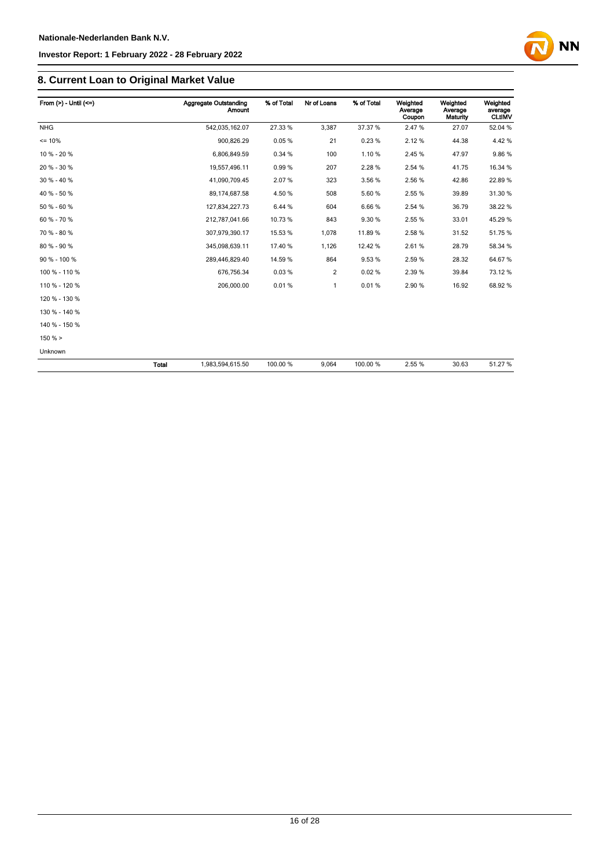

### **8. Current Loan to Original Market Value**

| From $(>)$ - Until $(<=)$ |              | <b>Aggregate Outstanding</b><br>Amount | % of Total | Nr of Loans | % of Total | Weighted<br>Average<br>Coupon | Weighted<br>Average<br><b>Maturity</b> | Weighted<br>average<br><b>CLtIMV</b> |
|---------------------------|--------------|----------------------------------------|------------|-------------|------------|-------------------------------|----------------------------------------|--------------------------------------|
| <b>NHG</b>                |              | 542,035,162.07                         | 27.33 %    | 3,387       | 37.37 %    | 2.47%                         | 27.07                                  | 52.04 %                              |
| $= 10%$                   |              | 900,826.29                             | 0.05%      | 21          | 0.23%      | 2.12%                         | 44.38                                  | 4.42%                                |
| 10 % - 20 %               |              | 6,806,849.59                           | 0.34 %     | 100         | 1.10%      | 2.45%                         | 47.97                                  | 9.86%                                |
| 20 % - 30 %               |              | 19,557,496.11                          | 0.99%      | 207         | 2.28%      | 2.54 %                        | 41.75                                  | 16.34 %                              |
| 30 % - 40 %               |              | 41,090,709.45                          | 2.07%      | 323         | 3.56 %     | 2.56 %                        | 42.86                                  | 22.89%                               |
| 40 % - 50 %               |              | 89, 174, 687.58                        | 4.50 %     | 508         | 5.60%      | 2.55 %                        | 39.89                                  | 31.30 %                              |
| 50 % - 60 %               |              | 127,834,227.73                         | 6.44 %     | 604         | 6.66%      | 2.54 %                        | 36.79                                  | 38.22 %                              |
| 60 % - 70 %               |              | 212,787,041.66                         | 10.73%     | 843         | 9.30%      | 2.55 %                        | 33.01                                  | 45.29 %                              |
| 70 % - 80 %               |              | 307,979,390.17                         | 15.53 %    | 1,078       | 11.89%     | 2.58%                         | 31.52                                  | 51.75 %                              |
| 80 % - 90 %               |              | 345,098,639.11                         | 17.40 %    | 1,126       | 12.42%     | 2.61%                         | 28.79                                  | 58.34 %                              |
| 90 % - 100 %              |              | 289,446,829.40                         | 14.59 %    | 864         | 9.53%      | 2.59%                         | 28.32                                  | 64.67%                               |
| 100 % - 110 %             |              | 676.756.34                             | 0.03%      | 2           | 0.02%      | 2.39 %                        | 39.84                                  | 73.12 %                              |
| 110 % - 120 %             |              | 206,000.00                             | 0.01%      | 1           | 0.01%      | 2.90%                         | 16.92                                  | 68.92%                               |
| 120 % - 130 %             |              |                                        |            |             |            |                               |                                        |                                      |
| 130 % - 140 %             |              |                                        |            |             |            |                               |                                        |                                      |
| 140 % - 150 %             |              |                                        |            |             |            |                               |                                        |                                      |
| 150%                      |              |                                        |            |             |            |                               |                                        |                                      |
| Unknown                   |              |                                        |            |             |            |                               |                                        |                                      |
|                           | <b>Total</b> | 1,983,594,615.50                       | 100.00 %   | 9,064       | 100.00 %   | 2.55 %                        | 30.63                                  | 51.27%                               |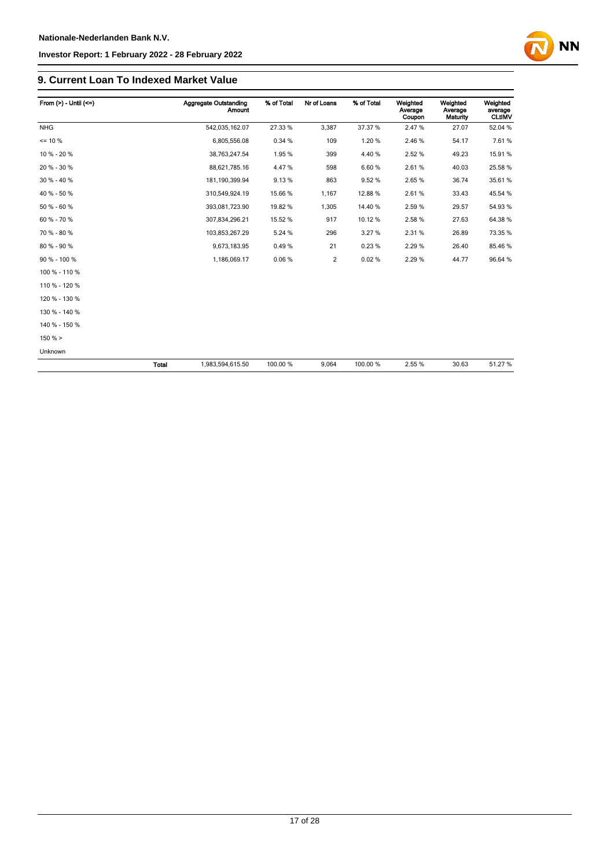

### **9. Current Loan To Indexed Market Value**

| From $(>) -$ Until $(<=)$ |              | <b>Aggregate Outstanding</b><br><b>Amount</b> | % of Total | Nr of Loans    | % of Total | Weighted<br>Average<br>Coupon | Weighted<br>Average<br>Maturity | Weighted<br>average<br><b>CLtIMV</b> |
|---------------------------|--------------|-----------------------------------------------|------------|----------------|------------|-------------------------------|---------------------------------|--------------------------------------|
| <b>NHG</b>                |              | 542,035,162.07                                | 27.33 %    | 3,387          | 37.37 %    | 2.47%                         | 27.07                           | 52.04 %                              |
| $= 10 \%$                 |              | 6,805,556.08                                  | 0.34 %     | 109            | 1.20%      | 2.46%                         | 54.17                           | 7.61%                                |
| 10 % - 20 %               |              | 38,763,247.54                                 | 1.95%      | 399            | 4.40 %     | 2.52%                         | 49.23                           | 15.91 %                              |
| 20 % - 30 %               |              | 88,621,785.16                                 | 4.47%      | 598            | 6.60%      | 2.61%                         | 40.03                           | 25.58 %                              |
| 30 % - 40 %               |              | 181,190,399.94                                | 9.13%      | 863            | 9.52%      | 2.65%                         | 36.74                           | 35.61 %                              |
| 40 % - 50 %               |              | 310,549,924.19                                | 15.66 %    | 1,167          | 12.88%     | 2.61%                         | 33.43                           | 45.54 %                              |
| 50 % - 60 %               |              | 393,081,723.90                                | 19.82 %    | 1,305          | 14.40 %    | 2.59%                         | 29.57                           | 54.93 %                              |
| 60 % - 70 %               |              | 307,834,296.21                                | 15.52 %    | 917            | 10.12%     | 2.58%                         | 27.63                           | 64.38 %                              |
| 70 % - 80 %               |              | 103,853,267.29                                | 5.24 %     | 296            | 3.27 %     | 2.31%                         | 26.89                           | 73.35 %                              |
| 80 % - 90 %               |              | 9,673,183.95                                  | 0.49%      | 21             | 0.23%      | 2.29%                         | 26.40                           | 85.46 %                              |
| 90 % - 100 %              |              | 1,186,069.17                                  | 0.06%      | $\overline{2}$ | 0.02%      | 2.29%                         | 44.77                           | 96.64 %                              |
| 100 % - 110 %             |              |                                               |            |                |            |                               |                                 |                                      |
| 110 % - 120 %             |              |                                               |            |                |            |                               |                                 |                                      |
| 120 % - 130 %             |              |                                               |            |                |            |                               |                                 |                                      |
| 130 % - 140 %             |              |                                               |            |                |            |                               |                                 |                                      |
| 140 % - 150 %             |              |                                               |            |                |            |                               |                                 |                                      |
| 150% >                    |              |                                               |            |                |            |                               |                                 |                                      |
| Unknown                   |              |                                               |            |                |            |                               |                                 |                                      |
|                           | <b>Total</b> | 1,983,594,615.50                              | 100.00 %   | 9,064          | 100.00%    | 2.55 %                        | 30.63                           | 51.27%                               |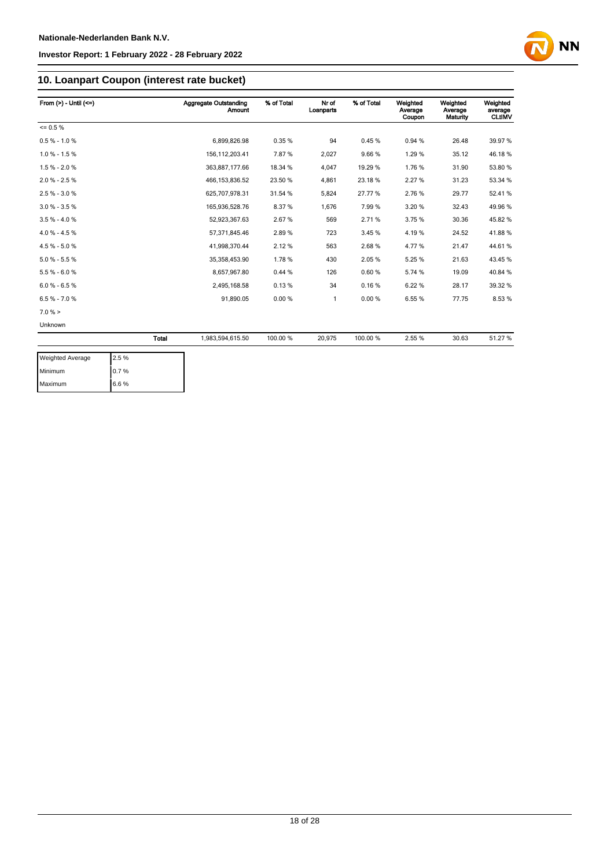

### **10. Loanpart Coupon (interest rate bucket)**

| From $(>) -$ Until $(<=)$ |       | <b>Aggregate Outstanding</b><br><b>Amount</b> | % of Total | Nr of<br>Loanparts | % of Total | Weighted<br>Average<br>Coupon | Weighted<br>Average<br>Maturity | Weighted<br>average<br><b>CLtIMV</b> |
|---------------------------|-------|-----------------------------------------------|------------|--------------------|------------|-------------------------------|---------------------------------|--------------------------------------|
| $= 0.5 \%$                |       |                                               |            |                    |            |                               |                                 |                                      |
| $0.5 % - 1.0 %$           |       | 6,899,826.98                                  | 0.35%      | 94                 | 0.45%      | 0.94 %                        | 26.48                           | 39.97 %                              |
| $1.0 \% - 1.5 \%$         |       | 156, 112, 203. 41                             | 7.87%      | 2,027              | 9.66%      | 1.29%                         | 35.12                           | 46.18%                               |
| $1.5% - 2.0%$             |       | 363,887,177.66                                | 18.34 %    | 4,047              | 19.29 %    | 1.76%                         | 31.90                           | 53.80 %                              |
| $2.0 \% - 2.5 \%$         |       | 466, 153, 836.52                              | 23.50 %    | 4,861              | 23.18%     | 2.27%                         | 31.23                           | 53.34 %                              |
| $2.5% - 3.0%$             |       | 625,707,978.31                                | 31.54 %    | 5,824              | 27.77%     | 2.76%                         | 29.77                           | 52.41%                               |
| $3.0 \% - 3.5 \%$         |       | 165.936.528.76                                | 8.37%      | 1.676              | 7.99%      | 3.20%                         | 32.43                           | 49.96 %                              |
| $3.5 \% - 4.0 \%$         |       | 52,923,367.63                                 | 2.67%      | 569                | 2.71%      | 3.75%                         | 30.36                           | 45.82%                               |
| $4.0 \% - 4.5 \%$         |       | 57,371,845.46                                 | 2.89%      | 723                | 3.45 %     | 4.19%                         | 24.52                           | 41.88%                               |
| $4.5% - 5.0%$             |       | 41,998,370.44                                 | 2.12%      | 563                | 2.68%      | 4.77%                         | 21.47                           | 44.61%                               |
| $5.0 \% - 5.5 \%$         |       | 35,358,453.90                                 | 1.78%      | 430                | 2.05%      | 5.25%                         | 21.63                           | 43.45 %                              |
| $5.5% - 6.0%$             |       | 8,657,967.80                                  | 0.44%      | 126                | 0.60%      | 5.74 %                        | 19.09                           | 40.84 %                              |
| $6.0 % - 6.5 %$           |       | 2,495,168.58                                  | 0.13%      | 34                 | 0.16%      | 6.22%                         | 28.17                           | 39.32 %                              |
| $6.5 \% - 7.0 \%$         |       | 91,890.05                                     | 0.00%      | $\mathbf{1}$       | 0.00%      | 6.55%                         | 77.75                           | 8.53%                                |
| 7.0%                      |       |                                               |            |                    |            |                               |                                 |                                      |
| Unknown                   |       |                                               |            |                    |            |                               |                                 |                                      |
|                           | Total | 1,983,594,615.50                              | 100.00 %   | 20,975             | 100.00%    | 2.55 %                        | 30.63                           | 51.27 %                              |

| <b>Weighted Average</b> | 2.5% |
|-------------------------|------|
| Minimum                 | 0.7% |
| Maximum                 | 6.6% |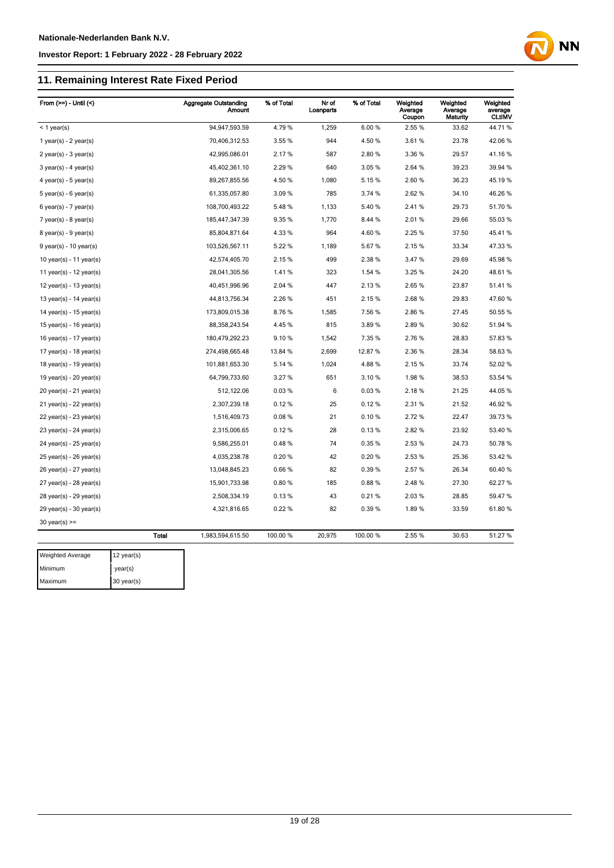## **11. Remaining Interest Rate Fixed Period**

| From $(>=) -$ Until $($     |              | <b>Aggregate Outstanding</b><br>Amount | % of Total | Nr of<br>Loanparts | % of Total | Weighted<br>Average<br>Coupon | Weighted<br>Average<br><b>Maturity</b> | Weighted<br>average<br><b>CLtIMV</b> |
|-----------------------------|--------------|----------------------------------------|------------|--------------------|------------|-------------------------------|----------------------------------------|--------------------------------------|
| $<$ 1 year(s)               |              | 94,947,593.59                          | 4.79%      | 1,259              | 6.00%      | 2.55 %                        | 33.62                                  | 44.71%                               |
| 1 year(s) - $2$ year(s)     |              | 70,406,312.53                          | 3.55 %     | 944                | 4.50 %     | 3.61%                         | 23.78                                  | 42.06%                               |
| $2$ year(s) - $3$ year(s)   |              | 42,995,086.01                          | 2.17%      | 587                | 2.80%      | 3.36 %                        | 29.57                                  | 41.16%                               |
| $3$ year(s) - 4 year(s)     |              | 45,402,361.10                          | 2.29 %     | 640                | 3.05%      | 2.64 %                        | 39.23                                  | 39.94 %                              |
| $4$ year(s) - $5$ year(s)   |              | 89,267,855.56                          | 4.50 %     | 1,080              | 5.15%      | 2.60%                         | 36.23                                  | 45.19%                               |
| $5$ year(s) - 6 year(s)     |              | 61,335,057.80                          | 3.09%      | 785                | 3.74 %     | 2.62%                         | 34.10                                  | 46.26 %                              |
| $6$ year(s) - 7 year(s)     |              | 108,700,493.22                         | 5.48%      | 1,133              | 5.40%      | 2.41%                         | 29.73                                  | 51.70 %                              |
| $7$ year(s) - 8 year(s)     |              | 185,447,347.39                         | 9.35 %     | 1,770              | 8.44 %     | 2.01%                         | 29.66                                  | 55.03 %                              |
| $8$ year(s) - $9$ year(s)   |              | 85,804,871.64                          | 4.33 %     | 964                | 4.60%      | 2.25 %                        | 37.50                                  | 45.41%                               |
| $9$ year(s) - 10 year(s)    |              | 103,526,567.11                         | 5.22 %     | 1,189              | 5.67%      | 2.15%                         | 33.34                                  | 47.33 %                              |
| 10 year(s) - 11 year(s)     |              | 42,574,405.70                          | 2.15%      | 499                | 2.38%      | 3.47%                         | 29.69                                  | 45.98%                               |
| 11 year(s) - $12$ year(s)   |              | 28,041,305.56                          | 1.41%      | 323                | 1.54 %     | 3.25 %                        | 24.20                                  | 48.61%                               |
| 12 year(s) - 13 year(s)     |              | 40,451,996.96                          | 2.04 %     | 447                | 2.13%      | 2.65%                         | 23.87                                  | 51.41%                               |
| 13 year(s) - $14$ year(s)   |              | 44,813,756.34                          | 2.26 %     | 451                | 2.15%      | 2.68%                         | 29.83                                  | 47.60%                               |
| 14 year(s) - 15 year(s)     |              | 173,809,015.38                         | 8.76%      | 1,585              | 7.56%      | 2.86%                         | 27.45                                  | 50.55 %                              |
| 15 year(s) - $16$ year(s)   |              | 88,358,243.54                          | 4.45%      | 815                | 3.89%      | 2.89%                         | 30.62                                  | 51.94 %                              |
| 16 year(s) - $17$ year(s)   |              | 180,479,292.23                         | 9.10%      | 1,542              | 7.35 %     | 2.76%                         | 28.83                                  | 57.83%                               |
| 17 year(s) - 18 year(s)     |              | 274,498,665.48                         | 13.84 %    | 2,699              | 12.87%     | 2.36%                         | 28.34                                  | 58.63%                               |
| 18 year(s) - 19 year(s)     |              | 101,881,653.30                         | 5.14 %     | 1,024              | 4.88%      | 2.15%                         | 33.74                                  | 52.02%                               |
| 19 year(s) - $20$ year(s)   |              | 64,799,733.60                          | 3.27 %     | 651                | 3.10%      | 1.98%                         | 38.53                                  | 53.54 %                              |
| $20$ year(s) - 21 year(s)   |              | 512,122.06                             | 0.03%      | 6                  | 0.03%      | 2.18%                         | 21.25                                  | 44.05 %                              |
| $21$ year(s) - 22 year(s)   |              | 2,307,239.18                           | 0.12%      | 25                 | 0.12%      | 2.31%                         | 21.52                                  | 46.92%                               |
| 22 year(s) - 23 year(s)     |              | 1,516,409.73                           | 0.08%      | 21                 | 0.10%      | 2.72%                         | 22.47                                  | 39.73 %                              |
| 23 year(s) - 24 year(s)     |              | 2,315,006.65                           | 0.12%      | 28                 | 0.13%      | 2.82%                         | 23.92                                  | 53.40 %                              |
| 24 year(s) - 25 year(s)     |              | 9,586,255.01                           | 0.48%      | 74                 | 0.35%      | 2.53%                         | 24.73                                  | 50.78 %                              |
| 25 year(s) - 26 year(s)     |              | 4,035,238.78                           | 0.20%      | 42                 | 0.20%      | 2.53%                         | 25.36                                  | 53.42 %                              |
| 26 year(s) - 27 year(s)     |              | 13,048,845.23                          | 0.66%      | 82                 | 0.39%      | 2.57%                         | 26.34                                  | 60.40%                               |
| $27$ year(s) - $28$ year(s) |              | 15,901,733.98                          | 0.80%      | 185                | 0.88%      | 2.48%                         | 27.30                                  | 62.27%                               |
| 28 year(s) - 29 year(s)     |              | 2,508,334.19                           | 0.13%      | 43                 | 0.21%      | 2.03%                         | 28.85                                  | 59.47 %                              |
| 29 year(s) - 30 year(s)     |              | 4,321,816.65                           | 0.22%      | 82                 | 0.39%      | 1.89%                         | 33.59                                  | 61.80%                               |
| $30$ year(s) >=             |              |                                        |            |                    |            |                               |                                        |                                      |
|                             | <b>Total</b> | 1,983,594,615.50                       | 100.00 %   | 20,975             | 100.00 %   | 2.55 %                        | 30.63                                  | 51.27 %                              |
| Weighted Average            | 12 year(s)   |                                        |            |                    |            |                               |                                        |                                      |

**NN** 

Minimum year(s) Maximum 30 year(s)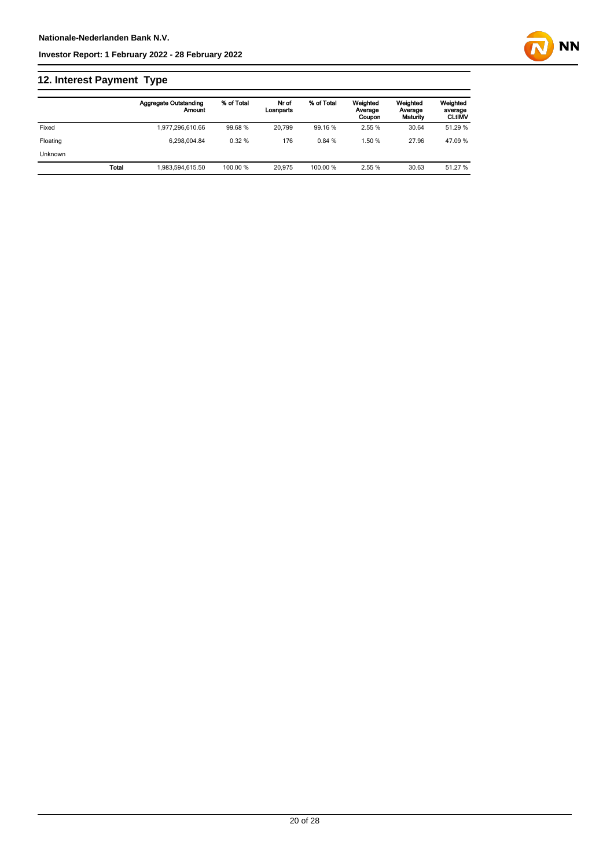## **12. Interest Payment Type**

|          |              | <b>Aggregate Outstanding</b><br>Amount | % of Total | Nr of<br>Loanparts | % of Total | Weighted<br>Average<br>Coupon | Weighted<br>Average<br>Maturity | Weighted<br>average<br><b>CLtIMV</b> |
|----------|--------------|----------------------------------------|------------|--------------------|------------|-------------------------------|---------------------------------|--------------------------------------|
| Fixed    |              | 1.977.296.610.66                       | 99.68%     | 20.799             | 99.16 %    | 2.55 %                        | 30.64                           | 51.29 %                              |
| Floating |              | 6.298.004.84                           | 0.32%      | 176                | 0.84%      | 1.50%                         | 27.96                           | 47.09 %                              |
| Unknown  |              |                                        |            |                    |            |                               |                                 |                                      |
|          | <b>Total</b> | 1.983.594.615.50                       | 100.00 %   | 20.975             | 100.00 %   | 2.55%                         | 30.63                           | 51.27 %                              |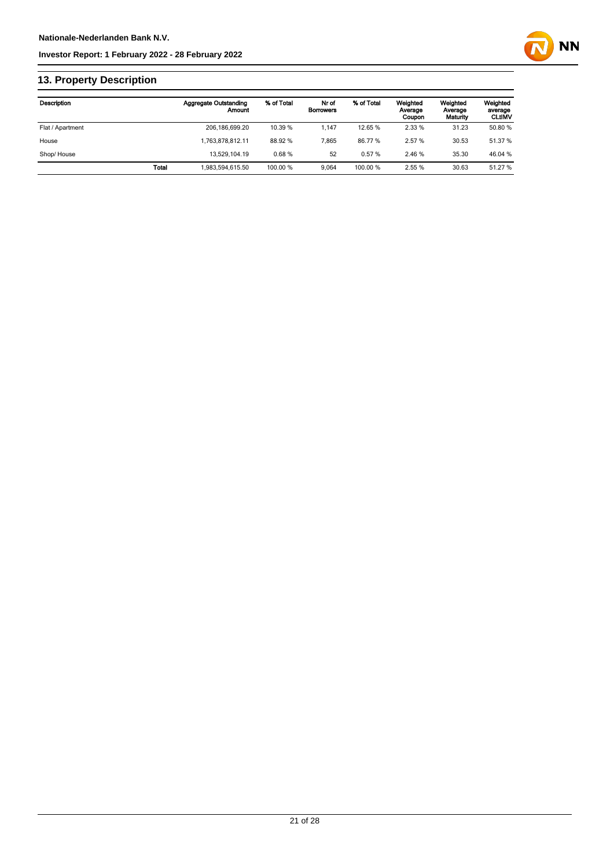

## **13. Property Description**

| Description      |       | <b>Aggregate Outstanding</b><br>Amount | % of Total | Nr of<br><b>Borrowers</b> | % of Total | Weighted<br>Average<br>Coupon | Weighted<br>Average<br>Maturity | Weighted<br>average<br><b>CLUMV</b> |
|------------------|-------|----------------------------------------|------------|---------------------------|------------|-------------------------------|---------------------------------|-------------------------------------|
| Flat / Apartment |       | 206, 186, 699. 20                      | 10.39 %    | 1.147                     | 12.65 %    | 2.33%                         | 31.23                           | 50.80 %                             |
| House            |       | 1.763.878.812.11                       | 88.92 %    | 7.865                     | 86.77%     | 2.57%                         | 30.53                           | 51.37 %                             |
| Shop/House       |       | 13.529.104.19                          | 0.68%      | 52                        | 0.57%      | 2.46 %                        | 35.30                           | 46.04 %                             |
|                  | Total | 1.983.594.615.50                       | 100.00 %   | 9.064                     | 100.00%    | 2.55%                         | 30.63                           | 51.27 %                             |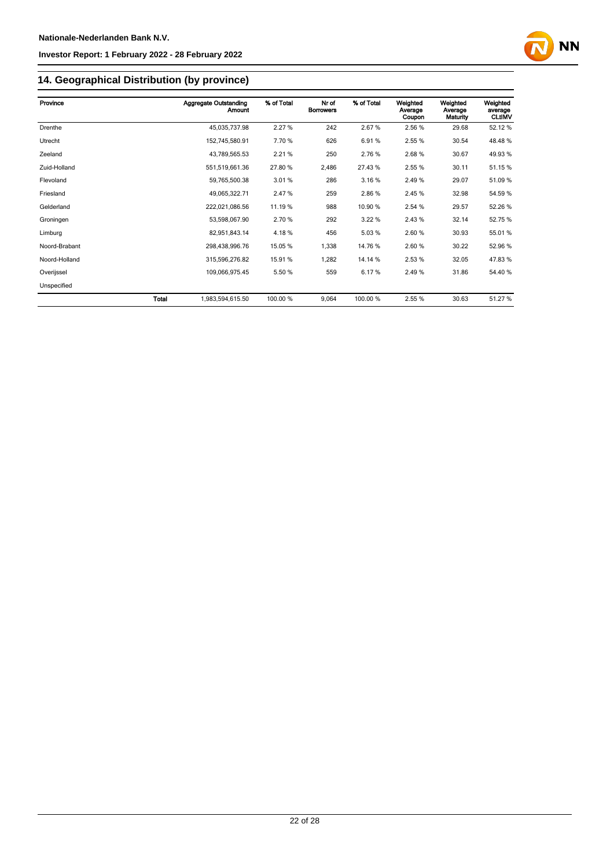

## **14. Geographical Distribution (by province)**

| Province      |       | Aggregate Outstanding<br>Amount | % of Total | Nr of<br><b>Borrowers</b> | % of Total | Weighted<br>Average<br>Coupon | Weighted<br>Average<br>Maturity | Weighted<br>average<br><b>CLtIMV</b> |
|---------------|-------|---------------------------------|------------|---------------------------|------------|-------------------------------|---------------------------------|--------------------------------------|
| Drenthe       |       | 45,035,737.98                   | 2.27%      | 242                       | 2.67%      | 2.56 %                        | 29.68                           | 52.12%                               |
| Utrecht       |       | 152,745,580.91                  | 7.70 %     | 626                       | 6.91%      | 2.55 %                        | 30.54                           | 48.48%                               |
| Zeeland       |       | 43,789,565.53                   | 2.21 %     | 250                       | 2.76%      | 2.68%                         | 30.67                           | 49.93 %                              |
| Zuid-Holland  |       | 551,519,661.36                  | 27.80 %    | 2,486                     | 27.43%     | 2.55 %                        | 30.11                           | 51.15 %                              |
| Flevoland     |       | 59,765,500.38                   | 3.01%      | 286                       | 3.16%      | 2.49%                         | 29.07                           | 51.09 %                              |
| Friesland     |       | 49,065,322.71                   | 2.47 %     | 259                       | 2.86%      | 2.45 %                        | 32.98                           | 54.59 %                              |
| Gelderland    |       | 222,021,086.56                  | 11.19 %    | 988                       | 10.90%     | 2.54 %                        | 29.57                           | 52.26 %                              |
| Groningen     |       | 53,598,067.90                   | 2.70 %     | 292                       | 3.22%      | 2.43%                         | 32.14                           | 52.75 %                              |
| Limburg       |       | 82,951,843.14                   | 4.18%      | 456                       | 5.03%      | 2.60%                         | 30.93                           | 55.01 %                              |
| Noord-Brabant |       | 298,438,996.76                  | 15.05 %    | 1,338                     | 14.76%     | 2.60%                         | 30.22                           | 52.96 %                              |
| Noord-Holland |       | 315,596,276.82                  | 15.91 %    | 1,282                     | 14.14 %    | 2.53%                         | 32.05                           | 47.83%                               |
| Overijssel    |       | 109,066,975.45                  | 5.50 %     | 559                       | 6.17%      | 2.49%                         | 31.86                           | 54.40 %                              |
| Unspecified   |       |                                 |            |                           |            |                               |                                 |                                      |
|               | Total | 1,983,594,615.50                | 100.00 %   | 9,064                     | 100.00 %   | 2.55 %                        | 30.63                           | 51.27 %                              |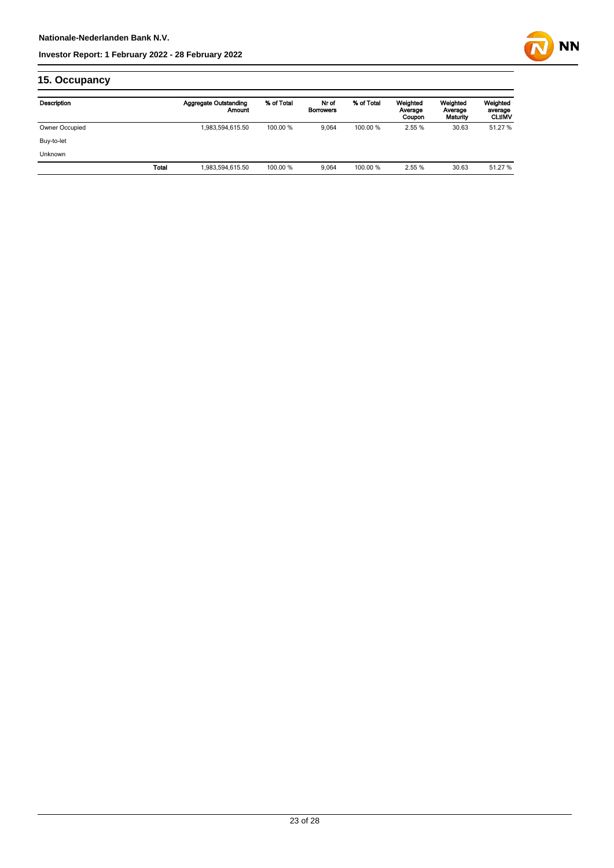

## **15. Occupancy**

| Description    |              | <b>Aggregate Outstanding</b><br>Amount | % of Total | Nr of<br><b>Borrowers</b> | % of Total | Weighted<br>Average<br>Coupon | Weighted<br>Average<br>Maturity | Weighted<br>average<br><b>CLtIMV</b> |
|----------------|--------------|----------------------------------------|------------|---------------------------|------------|-------------------------------|---------------------------------|--------------------------------------|
| Owner Occupied |              | 1,983,594,615.50                       | 100.00 %   | 9.064                     | 100.00 %   | 2.55 %                        | 30.63                           | 51.27 %                              |
| Buy-to-let     |              |                                        |            |                           |            |                               |                                 |                                      |
| <b>Unknown</b> |              |                                        |            |                           |            |                               |                                 |                                      |
|                | <b>Total</b> | 1,983,594,615.50                       | 100.00 %   | 9.064                     | 100.00 %   | 2.55 %                        | 30.63                           | 51.27 %                              |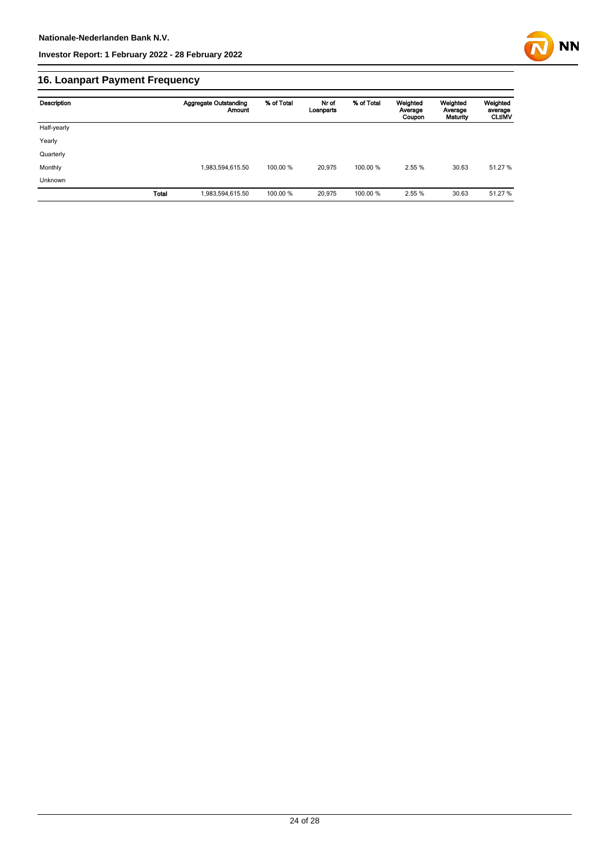

## **16. Loanpart Payment Frequency**

| Description | <b>Aggregate Outstanding</b><br>Amount | % of Total | Nr of<br>Loanparts | % of Total | Weighted<br>Average<br>Coupon | Weighted<br>Average<br>Maturity | Weighted<br>average<br><b>CLUMV</b> |
|-------------|----------------------------------------|------------|--------------------|------------|-------------------------------|---------------------------------|-------------------------------------|
| Half-yearly |                                        |            |                    |            |                               |                                 |                                     |
| Yearly      |                                        |            |                    |            |                               |                                 |                                     |
| Quarterly   |                                        |            |                    |            |                               |                                 |                                     |
| Monthly     | 1,983,594,615.50                       | 100.00 %   | 20.975             | 100.00 %   | 2.55 %                        | 30.63                           | 51.27 %                             |
| Unknown     |                                        |            |                    |            |                               |                                 |                                     |
|             | <b>Total</b><br>1,983,594,615.50       | 100.00 %   | 20,975             | 100.00%    | 2.55 %                        | 30.63                           | 51.27 %                             |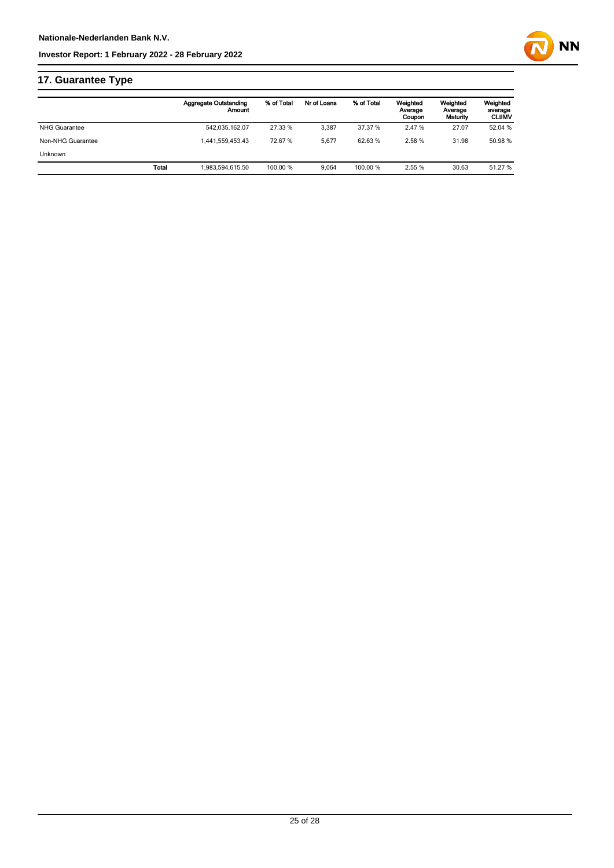

## **17. Guarantee Type**

|                   |       | <b>Aggregate Outstanding</b><br>Amount | % of Total | Nr of Loans | % of Total | Weighted<br>Average<br>Coupon | Weighted<br>Average<br>Maturity | Weighted<br>average<br><b>CLtIMV</b> |
|-------------------|-------|----------------------------------------|------------|-------------|------------|-------------------------------|---------------------------------|--------------------------------------|
| NHG Guarantee     |       | 542,035,162.07                         | 27.33 %    | 3.387       | 37.37 %    | 2.47 %                        | 27.07                           | 52.04 %                              |
| Non-NHG Guarantee |       | 1.441.559.453.43                       | 72.67 %    | 5.677       | 62.63%     | 2.58%                         | 31.98                           | 50.98 %                              |
| <b>Unknown</b>    |       |                                        |            |             |            |                               |                                 |                                      |
|                   | Total | 1.983.594.615.50                       | 100.00 %   | 9.064       | 100.00 %   | 2.55 %                        | 30.63                           | 51.27 %                              |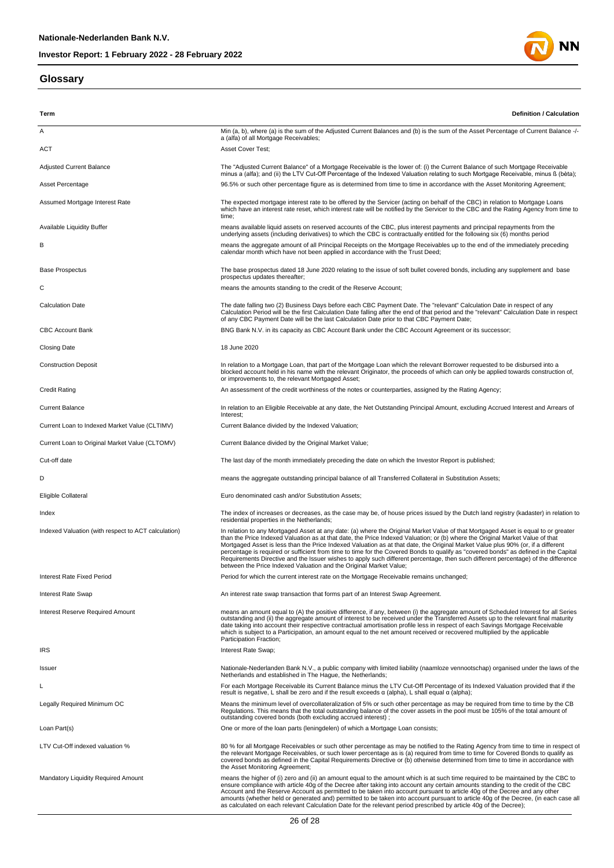### **Glossary**



| Term                                                | Definition / Calculation                                                                                                                                                                                                                                                                                                                                                                                                                                                                                                                                                                                                                                                                                                                                    |
|-----------------------------------------------------|-------------------------------------------------------------------------------------------------------------------------------------------------------------------------------------------------------------------------------------------------------------------------------------------------------------------------------------------------------------------------------------------------------------------------------------------------------------------------------------------------------------------------------------------------------------------------------------------------------------------------------------------------------------------------------------------------------------------------------------------------------------|
| Α                                                   | Min (a, b), where (a) is the sum of the Adjusted Current Balances and (b) is the sum of the Asset Percentage of Current Balance -/-<br>a (alfa) of all Mortgage Receivables;                                                                                                                                                                                                                                                                                                                                                                                                                                                                                                                                                                                |
| <b>ACT</b>                                          | Asset Cover Test;                                                                                                                                                                                                                                                                                                                                                                                                                                                                                                                                                                                                                                                                                                                                           |
| <b>Adjusted Current Balance</b>                     | The "Adjusted Current Balance" of a Mortgage Receivable is the lower of: (i) the Current Balance of such Mortgage Receivable<br>minus a (alfa); and (ii) the LTV Cut-Off Percentage of the Indexed Valuation relating to such Mortgage Receivable, minus ß (bèta);                                                                                                                                                                                                                                                                                                                                                                                                                                                                                          |
| Asset Percentage                                    | 96.5% or such other percentage figure as is determined from time to time in accordance with the Asset Monitoring Agreement;                                                                                                                                                                                                                                                                                                                                                                                                                                                                                                                                                                                                                                 |
| Assumed Mortgage Interest Rate                      | The expected mortgage interest rate to be offered by the Servicer (acting on behalf of the CBC) in relation to Mortgage Loans<br>which have an interest rate reset, which interest rate will be notified by the Servicer to the CBC and the Rating Agency from time to<br>time;                                                                                                                                                                                                                                                                                                                                                                                                                                                                             |
| <b>Available Liquidity Buffer</b>                   | means available liquid assets on reserved accounts of the CBC, plus interest payments and principal repayments from the<br>underlying assets (including derivatives) to which the CBC is contractually entitled for the following six (6) months period                                                                                                                                                                                                                                                                                                                                                                                                                                                                                                     |
| В                                                   | means the aggregate amount of all Principal Receipts on the Mortgage Receivables up to the end of the immediately preceding<br>calendar month which have not been applied in accordance with the Trust Deed;                                                                                                                                                                                                                                                                                                                                                                                                                                                                                                                                                |
| <b>Base Prospectus</b>                              | The base prospectus dated 18 June 2020 relating to the issue of soft bullet covered bonds, including any supplement and base<br>prospectus updates thereafter;                                                                                                                                                                                                                                                                                                                                                                                                                                                                                                                                                                                              |
| С                                                   | means the amounts standing to the credit of the Reserve Account;                                                                                                                                                                                                                                                                                                                                                                                                                                                                                                                                                                                                                                                                                            |
| <b>Calculation Date</b>                             | The date falling two (2) Business Days before each CBC Payment Date. The "relevant" Calculation Date in respect of any<br>Calculation Period will be the first Calculation Date falling after the end of that period and the "relevant" Calculation Date in respect<br>of any CBC Payment Date will be the last Calculation Date prior to that CBC Payment Date;                                                                                                                                                                                                                                                                                                                                                                                            |
| <b>CBC Account Bank</b>                             | BNG Bank N.V. in its capacity as CBC Account Bank under the CBC Account Agreement or its successor;                                                                                                                                                                                                                                                                                                                                                                                                                                                                                                                                                                                                                                                         |
| Closing Date                                        | 18 June 2020                                                                                                                                                                                                                                                                                                                                                                                                                                                                                                                                                                                                                                                                                                                                                |
| <b>Construction Deposit</b>                         | In relation to a Mortgage Loan, that part of the Mortgage Loan which the relevant Borrower requested to be disbursed into a<br>blocked account held in his name with the relevant Originator, the proceeds of which can only be applied towards construction of,<br>or improvements to, the relevant Mortgaged Asset;                                                                                                                                                                                                                                                                                                                                                                                                                                       |
| Credit Rating                                       | An assessment of the credit worthiness of the notes or counterparties, assigned by the Rating Agency;                                                                                                                                                                                                                                                                                                                                                                                                                                                                                                                                                                                                                                                       |
| <b>Current Balance</b>                              | In relation to an Eligible Receivable at any date, the Net Outstanding Principal Amount, excluding Accrued Interest and Arrears of<br>Interest;                                                                                                                                                                                                                                                                                                                                                                                                                                                                                                                                                                                                             |
| Current Loan to Indexed Market Value (CLTIMV)       | Current Balance divided by the Indexed Valuation;                                                                                                                                                                                                                                                                                                                                                                                                                                                                                                                                                                                                                                                                                                           |
| Current Loan to Original Market Value (CLTOMV)      | Current Balance divided by the Original Market Value;                                                                                                                                                                                                                                                                                                                                                                                                                                                                                                                                                                                                                                                                                                       |
| Cut-off date                                        | The last day of the month immediately preceding the date on which the Investor Report is published;                                                                                                                                                                                                                                                                                                                                                                                                                                                                                                                                                                                                                                                         |
| D                                                   | means the aggregate outstanding principal balance of all Transferred Collateral in Substitution Assets;                                                                                                                                                                                                                                                                                                                                                                                                                                                                                                                                                                                                                                                     |
| Eligible Collateral                                 | Euro denominated cash and/or Substitution Assets;                                                                                                                                                                                                                                                                                                                                                                                                                                                                                                                                                                                                                                                                                                           |
| Index                                               | The index of increases or decreases, as the case may be, of house prices issued by the Dutch land registry (kadaster) in relation to<br>residential properties in the Netherlands;                                                                                                                                                                                                                                                                                                                                                                                                                                                                                                                                                                          |
| Indexed Valuation (with respect to ACT calculation) | In relation to any Mortgaged Asset at any date: (a) where the Original Market Value of that Mortgaged Asset is equal to or greater<br>than the Price Indexed Valuation as at that date, the Price Indexed Valuation; or (b) where the Original Market Value of that<br>Mortgaged Asset is less than the Price Indexed Valuation as at that date, the Original Market Value plus 90% (or, if a different<br>percentage is required or sufficient from time to time for the Covered Bonds to qualify as "covered bonds" as defined in the Capital<br>Requirements Directive and the Issuer wishes to apply such different percentage, then such different percentage) of the difference<br>between the Price Indexed Valuation and the Original Market Value; |
| Interest Rate Fixed Period                          | Period for which the current interest rate on the Mortgage Receivable remains unchanged;                                                                                                                                                                                                                                                                                                                                                                                                                                                                                                                                                                                                                                                                    |
| Interest Rate Swap                                  | An interest rate swap transaction that forms part of an Interest Swap Agreement.                                                                                                                                                                                                                                                                                                                                                                                                                                                                                                                                                                                                                                                                            |
| <b>Interest Reserve Required Amount</b>             | means an amount equal to (A) the positive difference, if any, between (i) the aggregate amount of Scheduled Interest for all Series<br>outstanding and (ii) the aggregate amount of interest to be received under the Transferred Assets up to the relevant final maturity<br>date taking into account their respective contractual amortisation profile less in respect of each Savings Mortgage Receivable<br>which is subject to a Participation, an amount equal to the net amount received or recovered multiplied by the applicable<br>Participation Fraction;                                                                                                                                                                                        |
| <b>IRS</b>                                          | Interest Rate Swap;                                                                                                                                                                                                                                                                                                                                                                                                                                                                                                                                                                                                                                                                                                                                         |
| Issuer                                              | Nationale-Nederlanden Bank N.V., a public company with limited liability (naamloze vennootschap) organised under the laws of the<br>Netherlands and established in The Haque, the Netherlands;                                                                                                                                                                                                                                                                                                                                                                                                                                                                                                                                                              |
| L                                                   | For each Mortgage Receivable its Current Balance minus the LTV Cut-Off Percentage of its Indexed Valuation provided that if the<br>result is negative, L shall be zero and if the result exceeds $\alpha$ (alpha), L shall equal $\alpha$ (alpha);                                                                                                                                                                                                                                                                                                                                                                                                                                                                                                          |
| Legally Required Minimum OC                         | Means the minimum level of overcollateralization of 5% or such other percentage as may be required from time to time by the CB<br>Regulations. This means that the total outstanding balance of the cover assets in the pool must be 105% of the total amount of<br>outstanding covered bonds (both excluding accrued interest);                                                                                                                                                                                                                                                                                                                                                                                                                            |
| Loan Part(s)                                        | One or more of the loan parts (leningdelen) of which a Mortgage Loan consists;                                                                                                                                                                                                                                                                                                                                                                                                                                                                                                                                                                                                                                                                              |
| LTV Cut-Off indexed valuation %                     | 80 % for all Mortgage Receivables or such other percentage as may be notified to the Rating Agency from time to time in respect of<br>the relevant Mortgage Receivables, or such lower percentage as is (a) required from time to time for Covered Bonds to qualify as<br>covered bonds as defined in the Capital Requirements Directive or (b) otherwise determined from time to time in accordance with<br>the Asset Monitoring Agreement;                                                                                                                                                                                                                                                                                                                |
| <b>Mandatory Liquidity Required Amount</b>          | means the higher of (i) zero and (ii) an amount equal to the amount which is at such time required to be maintained by the CBC to<br>ensure compliance with article 40g of the Decree after taking into account any certain amounts standing to the credit of the CBC<br>Account and the Reserve Account as permitted to be taken into account pursuant to article 40g of the Decree and any other<br>amounts (whether held or generated and) permitted to be taken into account pursuant to article 40g of the Decree, (in each case all<br>as calculated on each relevant Calculation Date for the relevant period prescribed by article 40g of the Decree);                                                                                              |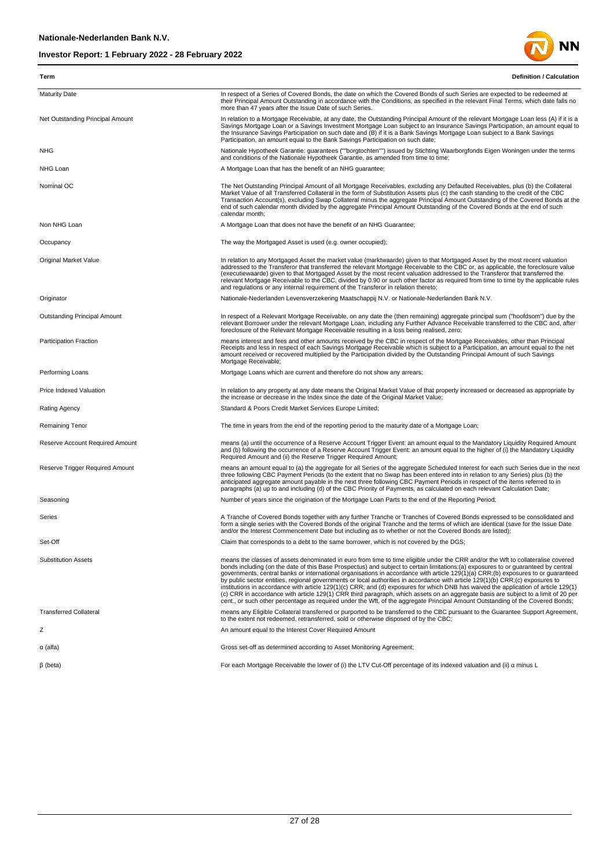

| Term                             | <b>Definition / Calculation</b>                                                                                                                                                                                                                                                                                                                                                                                                                                                                                                                                                                                                                                                                                                                                                                                                                                                                                                                              |
|----------------------------------|--------------------------------------------------------------------------------------------------------------------------------------------------------------------------------------------------------------------------------------------------------------------------------------------------------------------------------------------------------------------------------------------------------------------------------------------------------------------------------------------------------------------------------------------------------------------------------------------------------------------------------------------------------------------------------------------------------------------------------------------------------------------------------------------------------------------------------------------------------------------------------------------------------------------------------------------------------------|
| <b>Maturity Date</b>             | In respect of a Series of Covered Bonds, the date on which the Covered Bonds of such Series are expected to be redeemed at<br>their Principal Amount Outstanding in accordance with the Conditions, as specified in the relevant Final Terms, which date falls no<br>more than 47 years after the Issue Date of such Series.                                                                                                                                                                                                                                                                                                                                                                                                                                                                                                                                                                                                                                 |
| Net Outstanding Principal Amount | In relation to a Mortgage Receivable, at any date, the Outstanding Principal Amount of the relevant Mortgage Loan less (A) if it is a<br>Savings Mortgage Loan or a Savings Investment Mortgage Loan subject to an Insurance Savings Participation, an amount equal to<br>the Insurance Savings Participation on such date and (B) if it is a Bank Savings Mortgage Loan subject to a Bank Savings<br>Participation, an amount equal to the Bank Savings Participation on such date;                                                                                                                                                                                                                                                                                                                                                                                                                                                                         |
| NHG                              | Nationale Hypotheek Garantie: guarantees (""borgtochten"") issued by Stichting Waarborgfonds Eigen Woningen under the terms<br>and conditions of the Nationale Hypotheek Garantie, as amended from time to time;                                                                                                                                                                                                                                                                                                                                                                                                                                                                                                                                                                                                                                                                                                                                             |
| NHG Loan                         | A Mortgage Loan that has the benefit of an NHG guarantee;                                                                                                                                                                                                                                                                                                                                                                                                                                                                                                                                                                                                                                                                                                                                                                                                                                                                                                    |
| Nominal OC                       | The Net Outstanding Principal Amount of all Mortgage Receivables, excluding any Defaulted Receivables, plus (b) the Collateral<br>Market Value of all Transferred Collateral in the form of Substitution Assets plus (c) the cash standing to the credit of the CBC<br>Transaction Account(s), excluding Swap Collateral minus the aggregate Principal Amount Outstanding of the Covered Bonds at the<br>end of such calendar month divided by the aggregate Principal Amount Outstanding of the Covered Bonds at the end of such<br>calendar month;                                                                                                                                                                                                                                                                                                                                                                                                         |
| Non NHG Loan                     | A Mortgage Loan that does not have the benefit of an NHG Guarantee;                                                                                                                                                                                                                                                                                                                                                                                                                                                                                                                                                                                                                                                                                                                                                                                                                                                                                          |
| Occupancy                        | The way the Mortgaged Asset is used (e.g. owner occupied);                                                                                                                                                                                                                                                                                                                                                                                                                                                                                                                                                                                                                                                                                                                                                                                                                                                                                                   |
| <b>Original Market Value</b>     | In relation to any Mortgaged Asset the market value (marktwaarde) given to that Mortgaged Asset by the most recent valuation<br>addressed to the Transferor that transferred the relevant Mortgage Receivable to the CBC or, as applicable, the foreclosure value<br>(executiewaarde) given to that Mortgaged Asset by the most recent valuation addressed to the Transferor that transferred the<br>relevant Mortgage Receivable to the CBC, divided by 0.90 or such other factor as required from time to time by the applicable rules<br>and regulations or any internal requirement of the Transferor in relation thereto;                                                                                                                                                                                                                                                                                                                               |
| Originator                       | Nationale-Nederlanden Levensverzekering Maatschappij N.V. or Nationale-Nederlanden Bank N.V.                                                                                                                                                                                                                                                                                                                                                                                                                                                                                                                                                                                                                                                                                                                                                                                                                                                                 |
| Outstanding Principal Amount     | In respect of a Relevant Mortgage Receivable, on any date the (then remaining) aggregate principal sum ("hoofdsom") due by the<br>relevant Borrower under the relevant Mortgage Loan, including any Further Advance Receivable transferred to the CBC and, after<br>foreclosure of the Relevant Mortgage Receivable resulting in a loss being realised, zero;                                                                                                                                                                                                                                                                                                                                                                                                                                                                                                                                                                                                |
| <b>Participation Fraction</b>    | means interest and fees and other amounts received by the CBC in respect of the Mortgage Receivables, other than Principal<br>Receipts and less in respect of each Savings Mortgage Receivable which is subject to a Participation, an amount equal to the net<br>amount received or recovered multiplied by the Participation divided by the Outstanding Principal Amount of such Savings<br>Mortgage Receivable;                                                                                                                                                                                                                                                                                                                                                                                                                                                                                                                                           |
| Performing Loans                 | Mortgage Loans which are current and therefore do not show any arrears;                                                                                                                                                                                                                                                                                                                                                                                                                                                                                                                                                                                                                                                                                                                                                                                                                                                                                      |
| Price Indexed Valuation          | In relation to any property at any date means the Original Market Value of that property increased or decreased as appropriate by<br>the increase or decrease in the Index since the date of the Original Market Value;                                                                                                                                                                                                                                                                                                                                                                                                                                                                                                                                                                                                                                                                                                                                      |
| <b>Rating Agency</b>             | Standard & Poors Credit Market Services Europe Limited;                                                                                                                                                                                                                                                                                                                                                                                                                                                                                                                                                                                                                                                                                                                                                                                                                                                                                                      |
| <b>Remaining Tenor</b>           | The time in years from the end of the reporting period to the maturity date of a Mortgage Loan;                                                                                                                                                                                                                                                                                                                                                                                                                                                                                                                                                                                                                                                                                                                                                                                                                                                              |
| Reserve Account Required Amount  | means (a) until the occurrence of a Reserve Account Trigger Event: an amount equal to the Mandatory Liquidity Required Amount<br>and (b) following the occurrence of a Reserve Account Trigger Event: an amount equal to the higher of (i) the Mandatory Liquidity<br>Required Amount and (ii) the Reserve Trigger Required Amount;                                                                                                                                                                                                                                                                                                                                                                                                                                                                                                                                                                                                                          |
| Reserve Trigger Required Amount  | means an amount equal to (a) the aggregate for all Series of the aggregate Scheduled Interest for each such Series due in the next<br>three following CBC Payment Periods (to the extent that no Swap has been entered into in relation to any Series) plus (b) the<br>anticipated aggregate amount payable in the next three following CBC Payment Periods in respect of the items referred to in<br>paragraphs (a) up to and including (d) of the CBC Priority of Payments, as calculated on each relevant Calculation Date;                                                                                                                                                                                                                                                                                                                                                                                                                               |
| Seasoning                        | Number of years since the origination of the Mortgage Loan Parts to the end of the Reporting Period;                                                                                                                                                                                                                                                                                                                                                                                                                                                                                                                                                                                                                                                                                                                                                                                                                                                         |
| Series                           | A Tranche of Covered Bonds together with any further Tranche or Tranches of Covered Bonds expressed to be consolidated and<br>form a single series with the Covered Bonds of the original Tranche and the terms of which are identical (save for the Issue Date<br>and/or the Interest Commencement Date but including as to whether or not the Covered Bonds are listed);                                                                                                                                                                                                                                                                                                                                                                                                                                                                                                                                                                                   |
| Set-Off                          | Claim that corresponds to a debt to the same borrower, which is not covered by the DGS;                                                                                                                                                                                                                                                                                                                                                                                                                                                                                                                                                                                                                                                                                                                                                                                                                                                                      |
| <b>Substitution Assets</b>       | means the classes of assets denominated in euro from time to time eligible under the CRR and/or the Wft to collateralise covered<br>bonds including (on the date of this Base Prospectus) and subject to certain limitations:(a) exposures to or quaranteed by central<br>governments, central banks or international organisations in accordance with article 129(1)(a) CRR;(b) exposures to or quaranteed<br>by public sector entities, regional governments or local authorities in accordance with article 129(1)(b) CRR;(c) exposures to<br>institutions in accordance with article 129(1)(c) CRR; and (d) exposures for which DNB has waived the application of article 129(1)<br>(c) CRR in accordance with article 129(1) CRR third paragraph, which assets on an aggregate basis are subject to a limit of 20 per<br>cent., or such other percentage as required under the Wft, of the aggregate Principal Amount Outstanding of the Covered Bonds; |
| <b>Transferred Collateral</b>    | means any Eligible Collateral transferred or purported to be transferred to the CBC pursuant to the Guarantee Support Agreement,<br>to the extent not redeemed, retransferred, sold or otherwise disposed of by the CBC;                                                                                                                                                                                                                                                                                                                                                                                                                                                                                                                                                                                                                                                                                                                                     |
| Ζ                                | An amount equal to the Interest Cover Required Amount                                                                                                                                                                                                                                                                                                                                                                                                                                                                                                                                                                                                                                                                                                                                                                                                                                                                                                        |
| α (alfa)                         | Gross set-off as determined according to Asset Monitoring Agreement;                                                                                                                                                                                                                                                                                                                                                                                                                                                                                                                                                                                                                                                                                                                                                                                                                                                                                         |
| $\beta$ (beta)                   | For each Mortgage Receivable the lower of (i) the LTV Cut-Off percentage of its indexed valuation and (ii) $\alpha$ minus L                                                                                                                                                                                                                                                                                                                                                                                                                                                                                                                                                                                                                                                                                                                                                                                                                                  |